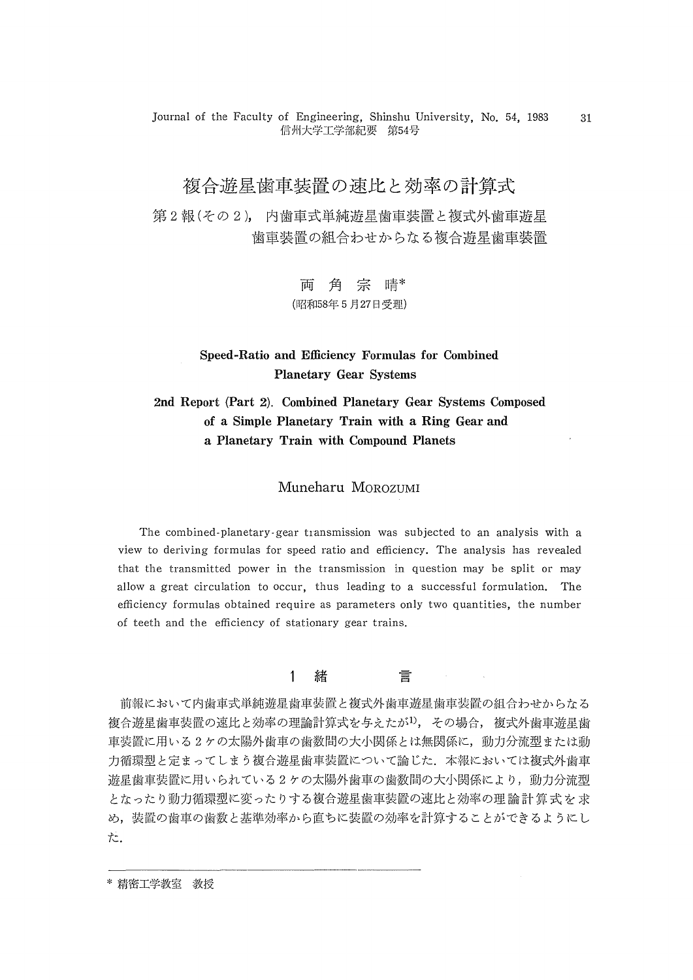Journal of the Faculty of Engineering, Shinshu University, No. 54, 1983 信州大学工学部紀要 第54号

# 複合遊星歯車装置の速比と効率の計算式

第2報(その2), 内歯車式単純遊星歯車装置と複式外歯車遊星 歯車装置の組合わせからなる複合遊星歯車装置

> 両角宗晴\* (昭和58年5月27日受理)

## Speed-Ratio and Efficiency Formulas for Combined Planetary Gear Systems

# 2nd Report (Part 2). Combined Planetary Gear Systems Composed of a Simple Planetary Train with a Ring Gear and a Planetary Train with Compound Planets

## Muneharu MOROZUMI

The combined-planetary-gear transmission was subjected to an analysis with a view to deriving formulas for speed ratio and efficiency. The analysis has revealed that the transmitted power in the transmission in question may be split or may allow a great circulation to occur, thus leading to a successful formulation. The efficiency formulas obtained require as parameters only two quantities, the number of teeth and the efficiency of stationary gear trains.

#### 1 緒 言

 前報において内歯車式単純遊星歯車装置と複式外歯車遊星歯車装置の組合わせからなる 複合遊星歯車装置の速比と効率の理論計算式を与えたが<sup>1)</sup>, その場合, 複式外歯車遊星歯 車装置に用いる2ケの太陽外歯車の歯数間の大小関係とは無関係に,動力分流型または動 力循環型と定まってしまう複合遊星歯車装置について論じた. 本報においては複式外歯車 遊星歯車装置に用いられている2ケの太陽外歯車の歯数間の大小関係により,動力分流型 となったり動力循環型に変ったりする複合遊星歯車装澱の速比と効率の理論計算式を求 め,装置の歯車の歯数と基準効率から直ちに装置の効率を計算することができるようにし た。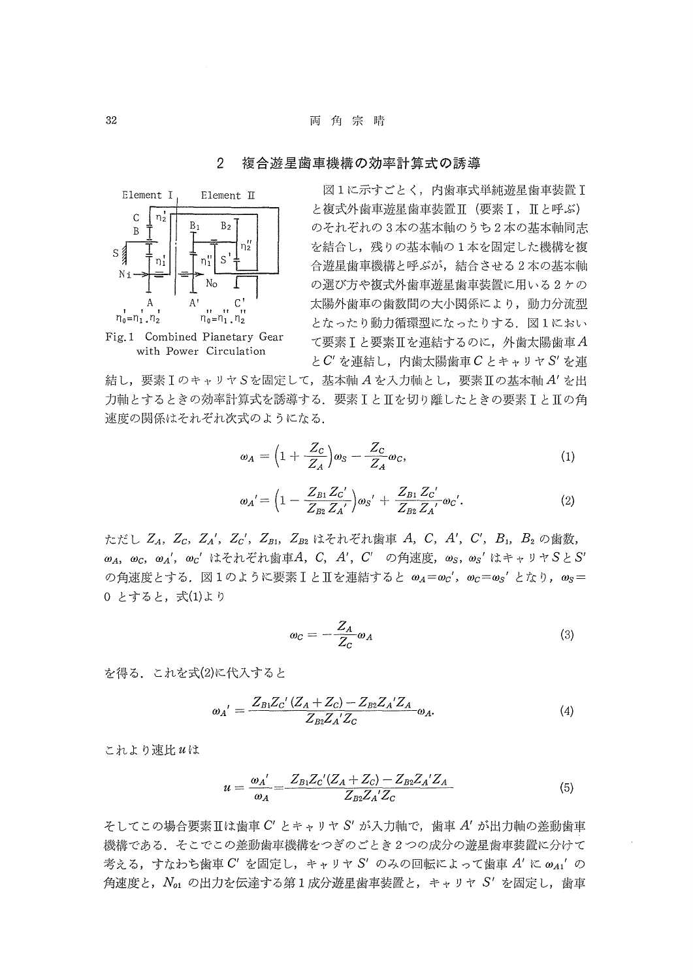### 2 複合遊星歯車機構の効率計算式の誘導



Fig.1 Combined Planetary Gear with Power Circulation

 図1に示すごとく,内歯車式単純遊星歯車装画1 と複式外歯車遊星歯車装置Ⅱ (要素 I, IIと呼ぶ) のそれぞれの3本の基本軸のうち2本の基本軸岡志 を結合し,残りの基本軸の1本を固定した機構を複 合遊星歯車機構と呼ぶが,結合させる2本の基本軸 の選び方や複式外歯車遊星歯車装置に用いる2ケの 太陽外歯車の歯数間の大小関係により,動力分流型 となったり動力循環型になったりする. 図1におい て要素1と要素∬を連結するのに,外歯太陽歯車五 とC'を連結し,内歯太陽歯車CとキャリヤS'を連

結し,要素IのキャリヤSを固定して,基本軸Aを入力軸とし,要素IIの基本軸A'を出 力軸とするときの効率計算式を誘導する.要素1と皿を切り離したときの要素1と五の角 速度の関係はそれぞれ次式のようになる.

$$
\omega_A = \left(1 + \frac{Z_C}{Z_A}\right)\omega_S - \frac{Z_C}{Z_A}\omega_C,\tag{1}
$$

$$
\omega_{A}' = \Big(1 - \frac{Z_{B1} Z_{C}'}{Z_{B2} Z_{A}'}\Big) \omega_{S}{}' + \frac{Z_{B1} Z_{C}'}{Z_{B2} Z_{A}'} \omega_{C}{}',\tag{2}
$$

ただし  $Z_A$ ,  $Z_C$ ,  $Z_A'$ ,  $Z_C'$ ,  $Z_{B1}$ ,  $Z_{B2}$  はそれぞれ歯車 A, C, A', C', B<sub>1</sub>, B<sub>2</sub> の歯数,  $ω_A$ , ω<sub>C</sub>, ω<sub>d</sub>', ω<sub>C</sub>' はそれぞれ歯車A, C, A', C' の角速度, ω<sub>S</sub>, ω<sub>S</sub>' はキャリヤSとS' の角速度とする。図1のように要素IとIを連結すると  $\omega_A = \omega_C'$ ,  $\omega_C = \omega_S'$ となり,  $\omega_S =$ 0 とすると, 式(1)より

$$
\omega_C = -\frac{Z_A}{Z_C} \omega_A \tag{3}
$$

を得る. これを式(2)に代入すると

$$
\omega_{A}^{\prime} = \frac{Z_{B1}Z_{C}^{\prime}(Z_{A} + Z_{C}) - Z_{B2}Z_{A}^{\prime}Z_{A}}{Z_{B2}Z_{A}^{\prime}Z_{C}} \omega_{A}.
$$
\n(4)

これより速比uは

$$
u = \frac{\omega_A'}{\omega_A} = \frac{Z_{B1}Z_C'(Z_A + Z_C) - Z_{B2}Z_A'Z_A}{Z_{B2}Z_A'Z_C}
$$
(5)

 $\zeta$ してこの場合要素Ⅱは歯車 $C'$ とキャリヤ $S'$ が入力軸で、歯車 $A'$ が出力軸の差動歯車 機構である.そこでこの差動歯車機構をつぎのごとき2つの成分の遊星歯車装置に分けて 考える,すなわち歯車 C' を固定し,キャリヤ S' のみの回転によって歯車 A' に  $\omega_{A1}'$  の 角速度と, $N_{\rm o1}$ の出力を伝達する第1成分遊星歯車装置と,キャリヤS'を固定し,歯車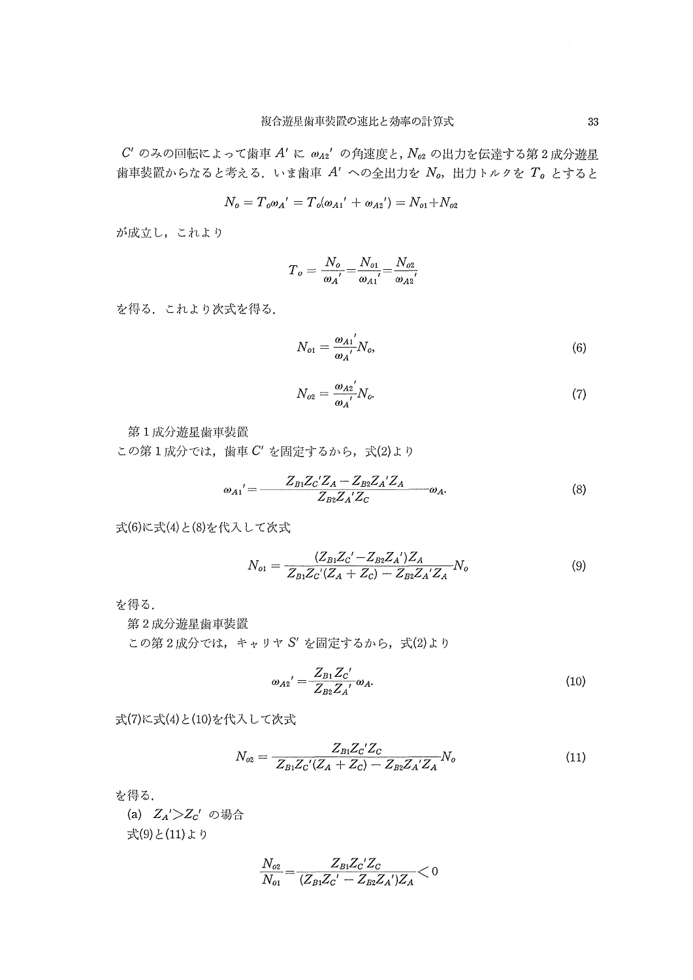$C'$ のみの回転によって歯車  $A'$ に $\omega_{A2}$ 'の角速度と,  $N_{oz}$ の出力を伝達する第2成分遊星 歯車装置からなると考える. いま歯車  $A'$ への全出力を  $N_o$ , 出力トルクを $T_o$  とすると

$$
N_o=T_o{\omega_A}'=T_o{\left(\omega_{A1}{}'~+~\omega_{A2}{}'\right)}=N_{o1}+N_{o2}
$$

が成立し,これより

$$
{{T}_{o}}=\frac{{{N}_{o}}}{{{ \omega_{A}}}'} \text{=}\frac{{{N}_{o1}}}{{{ \omega_{A1}}}'} \text{=}\frac{{{N}_{o2}}}{{{ \omega_{A2}}}'}
$$

を得る.これより次式を得る.

$$
N_{o1} = \frac{\omega_{A1}}{\omega_A} N_o, \tag{6}
$$

$$
N_{o2} = \frac{\omega_{A2}}{\omega_A} N_o. \tag{7}
$$

第1成分遊星歯車装置:

この第1成分では、歯車 $C'$ を固定するから、式(2)より

$$
{\omega_{A1}}' = \frac{Z_{B1}Z_{C}'Z_{A} - Z_{B2}Z_{A}'Z_{A}}{Z_{B2}Z_{A}'Z_{C}} \omega_{A}.
$$
 (8)

式(6)に式(4)と(8)を代入して次式

$$
N_{o1} = \frac{(Z_{B1}Z_{C}^{\'} - Z_{B2}Z_{A}^{\'} )Z_{A}}{Z_{B1}Z_{C}^{\'}(Z_{A} + Z_{C}) - Z_{B2}Z_{A}^{\'}Z_{A}} N_{o}
$$
(9)

を得る.

第2成分遊星歯率装置

この第2成分では,キャリヤ S' を固定するから,式(2)より

$$
\omega_{A2}' = \frac{Z_{B1} Z_{C}'}{Z_{B2} Z_{A}'} \omega_{A}.
$$
\n(10)

式(7)に式(4)と(10)を代入して次式

$$
N_{o2} = \frac{Z_{B1}Z_{C}Z_{C}}{Z_{B1}Z_{C}(Z_{A} + Z_{C}) - Z_{B2}Z_{A}Z_{A}}N_{o}
$$
(11)

を得る.

(a)  $Z_A'$ > $Z_C'$  の場合 式(9)と(11)より

$$
\frac{N_{o2}}{N_{o1}} = \frac{Z_{B1}Z_{C}^{\prime}Z_{C}}{(Z_{B1}Z_{C}^{\prime} - Z_{B2}Z_{A}^{\prime})Z_{A}} < 0
$$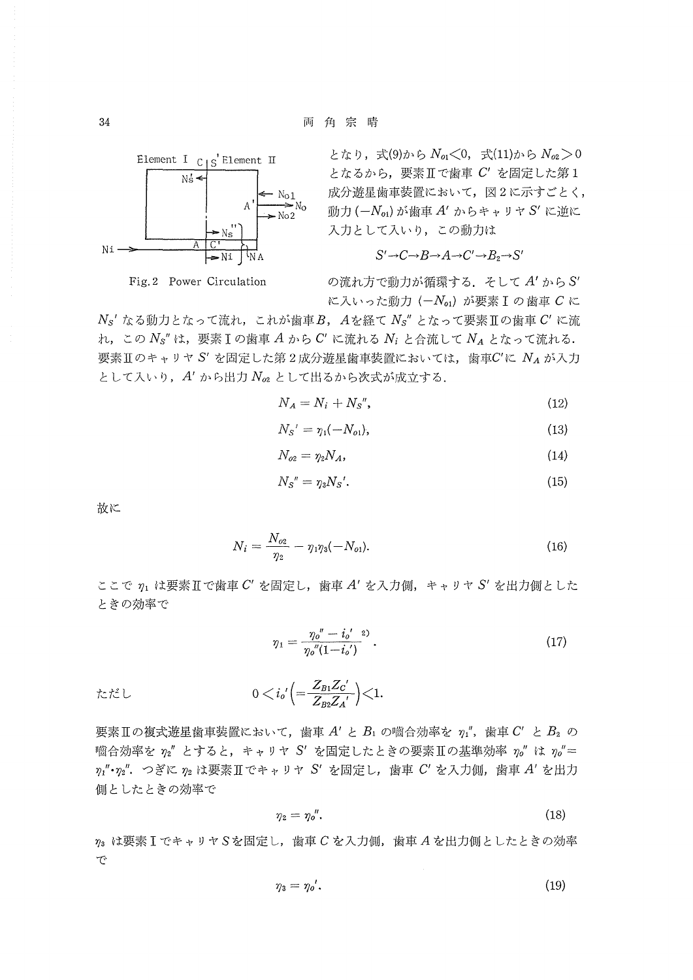

Fig. 2 Power Circulation

となり、式(9)から  $N_{q1}$ <0, 式(11)から  $N_{q2}$  > 0 となるから、要素IIで歯車 C' を固定した第1 成分遊星歯車装置において、図2に示すごとく, 動力 $(-N_{\alpha})$ が歯車A'からキャリヤS'に逆に 入力として入いり、この動力は

$$
S' \rightarrow C \rightarrow B \rightarrow A \rightarrow C' \rightarrow B_2 \rightarrow S'
$$

の流れ方で動力が循環する. そして A' から S' に入いった動力 ( $-N_{o1}$ ) が要素 I の歯車 C に

 $N$ <sub>s</sub>' なる動力となって流れ、これが歯車B, Aを経て  $N$ <sub>s</sub>" となって要素Ⅱの歯車  $C'$  に流 れ、この  $N_S$ "は、要素 I の歯車 A から C' に流れる  $N_i$  と合流して  $N_A$  となって流れる. 要素Ⅱのキャリヤ S' を固定した第2成分遊星歯車装置においては、歯車C'に  $N_A$ が入力 として入いり、A'から出力 No2 として出るから次式が成立する.

$$
N_A = N_i + N_S",\tag{12}
$$

$$
N_S' = \eta_1(-N_{o1}),\tag{13}
$$

$$
N_{o2} = \eta_2 N_A,\tag{14}
$$

$$
N_S'' = \eta_3 N_S'.\tag{15}
$$

故に

$$
N_i = \frac{N_{o2}}{\eta_2} - \eta_1 \eta_3 (-N_{o1}). \tag{16}
$$

ここで  $\eta_1$  は要素II で歯車  $C'$  を固定し、歯車  $A'$  を入力側, キャリヤ S' を出力側とした ときの効率で

$$
\eta_1 = \frac{\eta_0'' - i_0'^{-2}}{\eta_0'' (1 - i_0')} \,. \tag{17}
$$

$$
\text{tr}\,\text{tr}\, \text{L} \qquad \qquad 0 < i_0' \Big( = \frac{Z_{B1} Z_{C}^{\;\prime}}{Z_{B2} Z_{A}^{\;\prime}} \Big) < 1.
$$

要素Ⅱの複式遊星歯車装置において、歯車 A' と B1 の噛合効率を  $\eta_1''$ , 歯車 C' と B2 の 嚙合効率を  $\eta_2$ " とすると、キャリヤ S' を固定したときの要素Ⅱの基準効率  $\eta_0$ " は  $\eta_0$ "=  $\eta_1$ "· $\eta_2$ ". つぎに $\eta_2$ は要素IIでキャリヤ S' を固定し, 歯車 C' を入力側, 歯車 A' を出力 側としたときの効率で

$$
\eta_2 = \eta_0''.
$$
\n(18)

 $\eta_3$  は要素IでキャリヤSを固定し、歯車Cを入力側、歯車Aを出力側としたときの効率 で

$$
\eta_3 = \eta_0'.\tag{19}
$$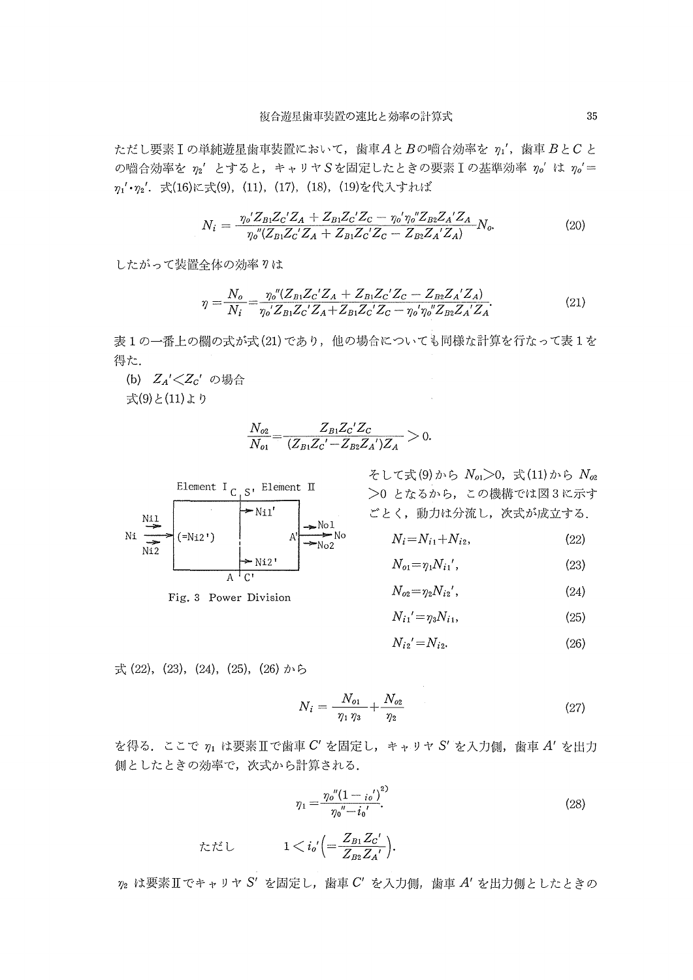ただし要素  $I$ の単純遊星歯車装置において、歯車 $A \geq B$ の噛合効率を $\eta_1'$ ,歯車 $B \geq C$ と の嚙合効率を $n_2'$ とすると、キャリヤSを固定したときの要素Iの基準効率 $n_0$ 'は $n_0'$ =  $\eta_1' \cdot \eta_2'$ . 式(16)に式(9),(11),(17),(18),(19)を代入すれば

$$
N_i = \frac{\eta_o' Z_{B1} Z_c' Z_A + Z_{B1} Z_c' Z_c - \eta_o' \eta_o'' Z_{B2} Z_A' Z_A}{\eta_o'' (Z_{B1} Z_c' Z_A + Z_{B1} Z_c' Z_c - Z_{B2} Z_A' Z_A)} N_o.
$$
(20)

したがって装置全体の効率りは

$$
\eta = \frac{N_o}{N_i} = \frac{\eta_o'' (Z_{Bi} Z_c' Z_A + Z_{Bi} Z_c' Z_c - Z_{Bi} Z_A' Z_A)}{\eta_o' Z_{Bi} Z_c' Z_A + Z_{Bi} Z_c' Z_c - \eta_o' \eta_o'' Z_{Bi} Z_A' Z_A}.
$$
(21)

表1の一番上の欄の式が式(21)であり、他の場合についても同様な計算を行なって表1を 得た.

(b)  $Z_A' \textless Z_C'$  の場合 式(9)と(11)より

$$
\frac{N_{o2}}{N_{o1}} = \frac{Z_{B1}Z_{C}^{\prime}Z_{C}}{(Z_{B1}Z_{C}^{\prime}-Z_{B2}Z_{A}^{\prime})Z_{A}} > 0.
$$



そして式(9)から  $N_{c1}>0$ , 式(11)から  $N_{c2}$  >0となるがら,この機構では図3に示す ごとく,動力は分流し,次式が成立する.

$$
N^{\rm o} \qquad N_i = N_{i1} + N_{i2}, \qquad (22)
$$

$$
N_{o1} = \eta_1 N_{i1}',\tag{23}
$$

$$
N_{o2} = \eta_2 N_{i2}',\tag{24}
$$

$$
N_{i1}' = \eta_3 N_{i1},\tag{25}
$$

$$
N_{i2} = N_{i2}.\tag{26}
$$

式(22),(23),(24),(25),(26)から

$$
N_i = \frac{N_{o_1}}{\eta_1 \eta_3} + \frac{N_{o_2}}{\eta_2} \tag{27}
$$

を得る. ここで  $\eta_1$  は要素Ⅱで歯車  $C'$ を固定し, キャリヤ  $S'$  を入力側, 歯車  $A'$  を出力 側としたときの効率で,次式から計算される.

$$
\eta_1 = \frac{\eta_o'' (1 - i_o')^2}{\eta_o'' - i_o'}.
$$
\n(28)

$$
\text{tr}\,\mathcal{K}\cup \qquad \qquad 1
$$

 $\eta_2$ は要素 $I$ エマキャリヤ S'を固定し,歯車 $C'$ を入力側,歯車 $A'$ を出力側としたときの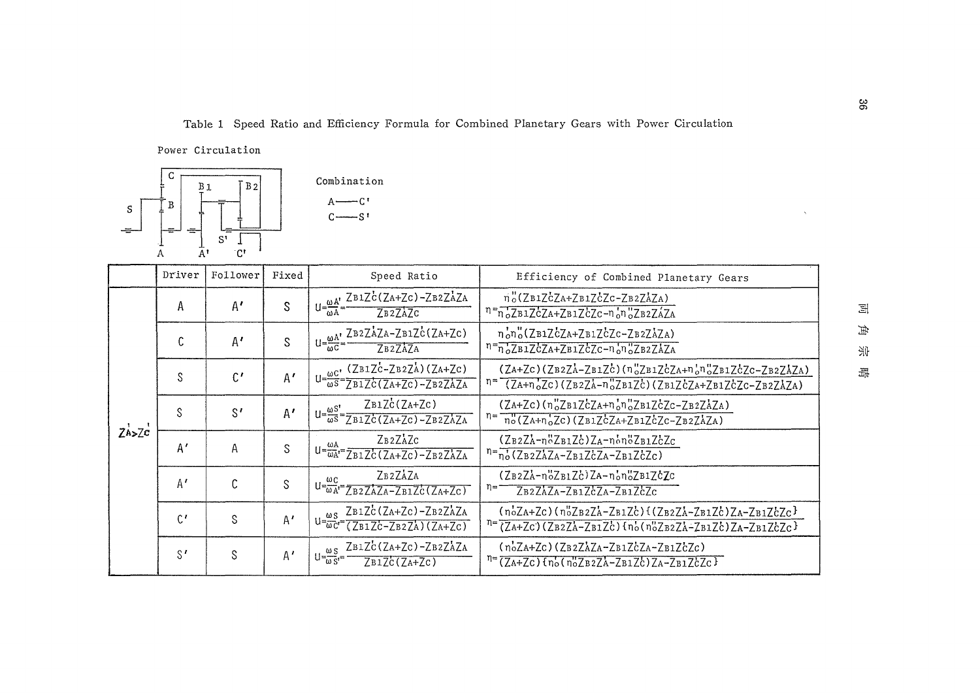Table 1 Speed Ratio and Efficiency Formula for Combined Planetary Gears with Power Circulation

Power Circulation



|            | Driver       | Follower       | Fixed | Speed Ratio                                                                                                                                                                                                                                                                                                                                                                                                                                                                                                                                                                                | Efficiency of Combined Planetary Gears                                                                                              |
|------------|--------------|----------------|-------|--------------------------------------------------------------------------------------------------------------------------------------------------------------------------------------------------------------------------------------------------------------------------------------------------------------------------------------------------------------------------------------------------------------------------------------------------------------------------------------------------------------------------------------------------------------------------------------------|-------------------------------------------------------------------------------------------------------------------------------------|
|            | А            | $A^{\prime}$   | S     | $U = \frac{\omega A'}{1 - \frac{\omega A'}{1 - \frac{\omega A'}{1 - \frac{\omega A'}{1 - \frac{\omega A'}{1 - \frac{\omega A'}{1 - \frac{\omega A'}{1 - \frac{\omega A'}{1 - \frac{\omega A'}{1 - \frac{\omega A'}{1 - \frac{\omega A'}{1 - \frac{\omega A'}{1 - \frac{\omega A'}{1 - \frac{\omega A'}{1 - \frac{\omega A'}{1 - \frac{\omega A'}{1 - \frac{\omega A'}{1 - \frac{\omega A'}{1 - \frac{\omega A'}{1 - \frac{\omega A'}{1 - \frac{\omega A'}{1 - \frac{\omega A'}{1 - \frac{\omega A'}{1 - \frac{\omega A'}{1 - \frac$<br>$\overline{a}$<br>7 <sub>B2</sub> 7 <sub>A7</sub> c | n"(ZB1ZCZA+ZB1ZCZC-ZB2ZAZA)<br>$n = n_0 Z B1 ZcZA + Z B1 ZcZc - n_0 n_0 Z B2 ZAZA$                                                  |
|            | C            | $A^{\prime}$   | S     | $U = \frac{\omega A'}{\omega C} = \frac{Z B 2 Z A Z A - Z B 1 Z C (Z A + Z C)}{Z B Q C}$                                                                                                                                                                                                                                                                                                                                                                                                                                                                                                   | nono(ZB1ZcZA+ZB1ZcZc-ZB2ZAZA)<br>$n = \frac{1}{n_0 Z B1 Z C Z A + Z B1 Z C Z C - n_0 n_0 Z B2 Z A Z A}$                             |
|            | S            | $\mathfrak{c}$ | A'    | $(ZB1Zc-ZB2ZA)(ZA+Zc)$<br>$U = \frac{\omega C'}{\omega S} = \frac{(2B12C - 2B22A)(2A + 2C)}{(2B12C)(2A + 2C) - 2B22AZA}$                                                                                                                                                                                                                                                                                                                                                                                                                                                                   | $(ZA+ZC) (ZB2ZA-ZB1ZC) (n_0ZB1ZCZA+n_0n_0ZB1ZCZC-ZB2ZAZA)$<br>$n = (ZA+n_0Zc)(ZB2ZA-n_0ZB1Zc)(ZB1ZcZA+ZB1ZcZc-ZB2ZAZA)$             |
| $Z_{A>Zc}$ | S            | $S^{\prime}$   | A'    | $ZB1Zc(ZA+Zc)$<br>$U = \frac{\omega S'}{\omega S} = \frac{L B L C (L A + L C)}{Z B 1 Z C (Z A + Z C) - Z B 2 Z A Z A}$                                                                                                                                                                                                                                                                                                                                                                                                                                                                     | $(ZA+Zc)$ $(n_o''ZB1ZcZA+n_o'n_o''ZB1ZcZc-ZB2ZAZA)$<br>$n = \frac{n}{n_0}(Z_A + n_0 Z_C)(Z_B1Z_{C}Z_A + Z_B1Z_{C}Z_C - Z_B2Z_AZ_A)$ |
|            | A'           | Α              | S     | ZB2ZAZC<br>$U = \frac{\omega A}{\omega A'} = \frac{2\pi}{\sum B \, 1 \, \sum C \, (Z + ZC) - ZB \, 2 \, \sum A ZA}$                                                                                                                                                                                                                                                                                                                                                                                                                                                                        | $(ZB2ZA-nBZB1Zc)ZA-nbDZB1ZcZc$<br>$n = n_0 (Z_B2ZAZA-Z_B1Z'cZA-Z_B1Z'cZc)$                                                          |
|            | A'           | Ċ              | S     | ZB2ZAZA<br>$U = \frac{\omega C}{\omega A'} = \frac{2.224 \times 10^{-3} \text{ J s}}{2.822 \times 2.42 \times 10^{-3} \text{ J s}} = 2.81 \times 10^{-3} \text{ J s}$                                                                                                                                                                                                                                                                                                                                                                                                                      | $(ZB2ZA - n6ZB1Zc)ZA - n6n6ZB1ZcZc$<br>η≕<br>ZB2ZAZA-ZB1ZCZA-ZB1ZCZC                                                                |
|            | $C^{\prime}$ | S              | A'    | ZB1ZC(ZA+Zc)-ZB2ZAZA<br>$U = \frac{\omega S}{\omega C} = \frac{\Delta B 12C (2A + 2C)}{(ZB1ZC - ZB2ZA)(ZA + ZC)}$                                                                                                                                                                                                                                                                                                                                                                                                                                                                          | $(noZa+Zc)(noZb2Za-Zb1Zc)$ {(Zb2ZA-Zb1Zc)ZA-Zb1ZcZc}<br>n=(ZA+Zc)(ZB2ZA-ZB1Zc){nb(nbZB2ZA-ZB1Zc)ZA-ZB1ZcZc}                         |
|            | $S^{\prime}$ | S              | A'    | ZB1ZC(ZA+ZC)-ZB2ZAZA<br>$U = \frac{\omega S}{\omega S} =$<br>ZB1Zc(ZA+Zc)                                                                                                                                                                                                                                                                                                                                                                                                                                                                                                                  | $(noZA+Zc)$ (ZB2ZAZA-ZB1ZCZA-ZB1ZCZC)<br>$n = (ZA+ZC)$ $n_o(n_oZB2ZA-ZB1ZC)ZA-ZB1ZCZC$                                              |

 $\Xi$  $\#$ 새 鼉

 $36\,$ 

 $\mathbf{v}^{\prime}$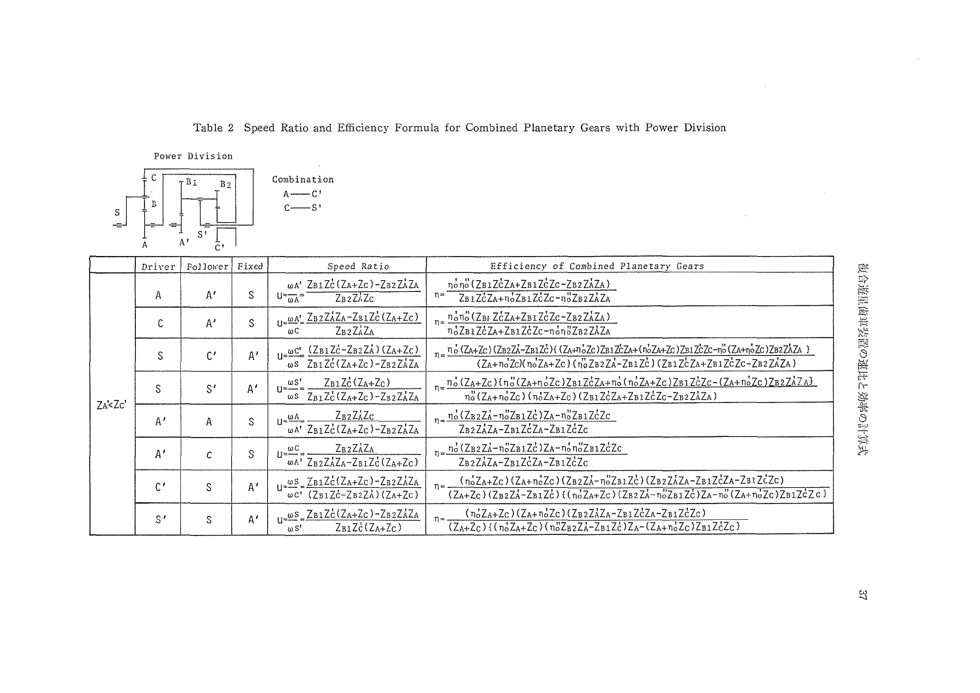Table 2 Speed Ratio and Efficiency Formula for Combined Planetary Gears with Power Division

Power Division



|        | Driver        | Follower     | Fixed | Speed Ratio                                                                                                                                                                                                                                                                            | Efficiency of Combined Planetary Gears                                                                                                                                                                                                                            |
|--------|---------------|--------------|-------|----------------------------------------------------------------------------------------------------------------------------------------------------------------------------------------------------------------------------------------------------------------------------------------|-------------------------------------------------------------------------------------------------------------------------------------------------------------------------------------------------------------------------------------------------------------------|
|        | А             | $A^{\prime}$ | S     | $\omega A'$ ZB1ZC(ZA+ZC)-ZB2ZAZA<br>$U = \frac{1}{\omega A}$<br>ZB2ZAZC                                                                                                                                                                                                                | nono (ZB1ZCZA+ZB1ZCZC-ZB2ZAZA)<br>$\eta =$<br>ZB1ZCZA+noZB1ZCZc-noZB2ZAZA                                                                                                                                                                                         |
|        | U             | A'           | S     | $\mathbf{1} = \mathbf{W} \mathbf{A}^{\dagger} = \mathbf{Z} \mathbf{B} \mathbf{2} \mathbf{Z} \mathbf{A} \mathbf{Z} \mathbf{A} - \mathbf{Z} \mathbf{B} \mathbf{1} \mathbf{Z} \mathbf{C} (\mathbf{Z} \mathbf{A} + \mathbf{Z} \mathbf{C})$<br>$Z_B$ <sub>2</sub> $Z_A$ $Z_A$<br>$\omega$ C | $n=\frac{n'_on''(Z_{\rm BI} Z_{\rm C}^1 Z_{\rm A}+Z_{\rm B1} Z_{\rm C}^1 Z_{\rm C}-Z_{\rm B2} Z_{\rm A}^1 Z_{\rm A})}{n'_o Z_{\rm B1} Z_{\rm C}^1 Z_{\rm A}+Z_{\rm B1} Z_{\rm C}^1 Z_{\rm C}-n'_o n''_o Z_{\rm B2} Z_{\rm A} Z_{\rm A}}$                          |
|        | S             | C'           | A'    | $U = \frac{\omega C'}{\omega S} \frac{(Z_{B1}Z_{C}^{\prime} - Z_{B2}Z_{A}^{\prime}) (Z_{A} + Z_{C})}{Z_{B1}Z_{C}^{\prime} (Z_{A} + Z_{C}) - Z_{B2}Z_{A}^{\prime}Z_{A}}$                                                                                                                | n="0.(ZA+Zc)(ZB2ZA-ZB1Zc){(ZA+noZc)ZB1ZcZA+(noZA+Zc)ZB1ZcZc-no(ZA+noZc)ZB2ZAZA }<br>(ZA+noZc)(noZA+Zc)(noZB2ZA-ZB1Zc)(ZB1ZcZA+ZB1ZcZc-ZB2ZAZA)                                                                                                                    |
|        | S             | S'           | A'    | $Z_{B1}Z_{C}$ ( $Z_{A}+Z_{C}$ )<br>$U = \frac{\omega S'}{\omega}$<br>$\omega$ s Z <sub>B1</sub> Z <sub>C</sub> (Z <sub>A+</sub> Z <sub>C</sub> )-Z <sub>B2</sub> Z <sub>A</sub> Z <sub>A</sub>                                                                                         | $n=\frac{n_o^1(Z_A+Z_C)\{n_o^1(Z_A+n_o^1Z_C)Z_B1Z_C^1Z_A+n_o^1(n_o^1Z_A+Z_C)Z_B1Z_C^1Z_C-(Z_A+n_o^1Z_C)Z_B2Z_A^1Z_A\}}{n_o^1(Z_A+n_o^1Z_C)(n_o^1Z_A+Z_C)(Z_B1Z_C^1Z_A+Z_B1Z_C^1Z_C-Z_B2Z_A^1Z_A)}$                                                                |
| ZA< ZC | A'            | A            | S     | $Z_B2Z_AZ_C$<br>$11 \approx \frac{\omega A_2}{\omega A_1}$<br>$\omega$ <sup>A</sup> <sup>+</sup> Z <sub>B1</sub> Z <sub>C</sub> (Z <sub>A+ZC</sub> )-Z <sub>B2</sub> Z <sub>A</sub> Z <sub>A</sub>                                                                                     | $n = \frac{n_o^t (Z_B z Z_A^t - n_o^t Z_B z Z_C^t) Z_A - n_o^t Z_B z Z_C^t Z_C}{Z_B z Z_A^t Z_A - Z_B z Z_C^t Z_A - Z_B z Z_C^t Z_C}$                                                                                                                             |
|        | $A^{\prime}$  | C            | S     | $Z_B$ <sub>2</sub> $Z_A$ <sup><math>Z_A</math></sup><br>$U = \frac{\omega C}{\omega}$<br>$\overline{\omega_A}$ $\overline{Z_B^2 Z_A^1 Z_A - Z_B^1 Z_C^2 (Z_A + Z_C)}$                                                                                                                  | $n = \frac{n_0^1 (Z_B 2Z_A^1 - n_0^0 Z_B 1Z_C^1) Z_A - n_0^1 n_0^0 Z_B 1Z_C^1 Z_C}{Z_B 2Z_A^1 Z_A - Z_B 1Z_C^1 Z_A - Z_B 1Z_C^1 Z_C}$                                                                                                                             |
|        | $\mathcal{C}$ | S            | A'    | $U=\frac{\omega S}{\omega C}=\frac{Z_{B1}Z_{C}^{\dagger}(Z_{A}+Z_{C})-Z_{B2}Z_{A}^{\dagger}Z_{A}}{(Z_{B1}Z_{C}^{\dagger}-Z_{B2}Z_{A}^{\dagger})(Z_{A}+Z_{C})}$                                                                                                                         | $n = \frac{(n_0 Z_A + Z_C)(Z_A + n_0 Z_C)(Z_B z Z_A - n_0 Z_B z Z_C)}{(Z_B z Z_A Z_A - Z_B z Z_C Z_A - Z_B z Z_C Z_C)}$<br>$(Z_{A}+Z_{C})$ $(Z_{B2}Z_{A}-Z_{B1}Z_{C})$ $(I_{n'z_{A}+Z_{C}})(Z_{B2}Z_{A}-n''z_{B1}Z_{C})Z_{A}-n''(Z_{A}+n'z_{C})Z_{B1}Z_{C}Z_{C})$ |
|        | $S^{\prime}$  | S            | A'    | $\frac{\omega S}{\omega S} = \frac{Z B1 Zc (Z_A + Z_C) - Z B2 Z_A Z_A}{\omega S}$<br>$Z_{B1}Zc(Z_{A+}Z_{C})$<br>$\omega S'$                                                                                                                                                            | $(n_0Z_A+Z_C)(Z_A+n_0Z_C)(Z_BzZ_AZ_A-Z_B1Z_CZ_A-Z_B1Z_CZ_C)$<br>$(Z_{A}+Z_{C})$ {(noZA+Zc)(noZB2ZA-ZB1Zc)ZA-(ZA+noZc)ZB1ZcZc}                                                                                                                                     |

 $\sim$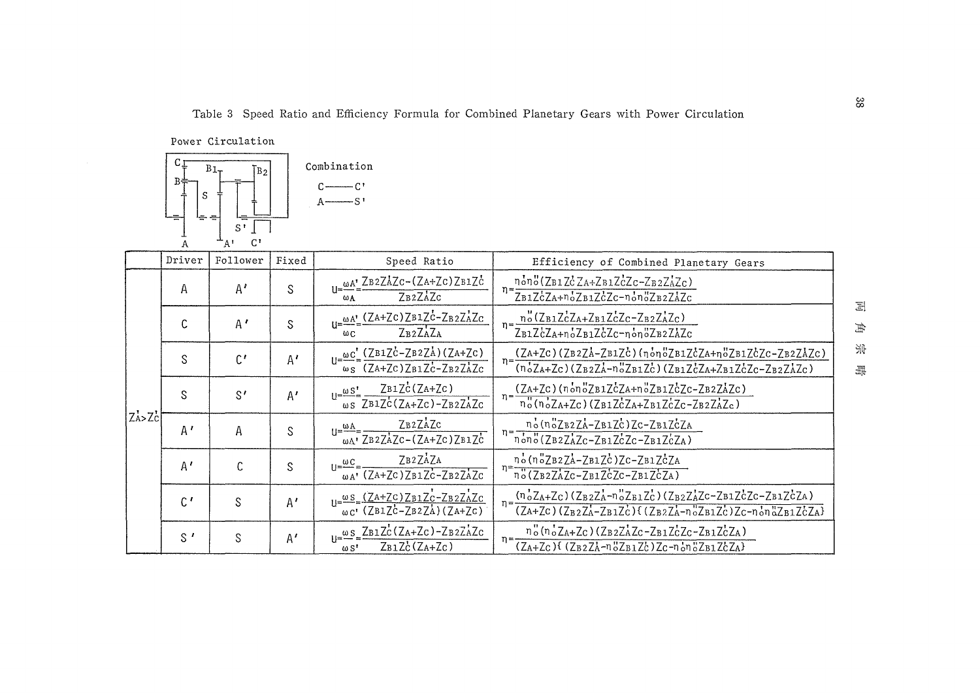Table 3 Speed Ratio and Efficiency Formula for Combined Planetary Gears with Power Circulation

 $38$ 

Power Circulation



|             | Driver       | Follower       | Fixed        | Speed Ratio                                                                                                      | Efficiency of Combined Planetary Gears                                                                                                                                                                                                                                                 |
|-------------|--------------|----------------|--------------|------------------------------------------------------------------------------------------------------------------|----------------------------------------------------------------------------------------------------------------------------------------------------------------------------------------------------------------------------------------------------------------------------------------|
|             | Α            | $A^{\prime}$   | S            | $\omega A'$ ZB2ZAZc-(ZA+Zc)ZB1Zc<br>ZB <sub>2</sub> ZAZC<br>ωA                                                   | nono(ZB1ZcZA+ZB1ZcZc-ZB2ZAZc)<br>ZB1ZcZA+noZB1ZcZc-nonoZB2ZAZc                                                                                                                                                                                                                         |
|             | C            | A'             | S            | $\omega A'$ (ZA+ZC)ZB1ZC-ZB2ZAZC<br>ZB <sub>2</sub> ZAZA<br>ωc.                                                  | $\frac{n_o''(Z_{B1}Z_0^tZ_{A}+Z_{B1}Z_0^tZ_C-Z_{B2}Z_A^tZ_C)}{Z_{B1}Z_0^tZ_{A}+n_o'Z_{B1}Z_0^tZ_C-n_o'n_o''Z_{B2}Z_A^tZ_C}$                                                                                                                                                            |
|             | S            | $\mathfrak{g}$ | $A^{\prime}$ | $U=\frac{\omega c^{\prime}}{\omega s}=\frac{(ZB1Z\dot{c}-ZB2Z\dot{A})(ZA+Zc)}{(ZA+Zc)ZB1Z\dot{c}-ZB2Z\dot{A}Zc}$ | $(ZA+ZC)$ $(ZB2ZA-ZB1ZC)$ $(\eta \circ \eta \circ ZB1ZCZA+\eta \circ ZB1ZCZC-ZB2ZAZC)$<br>$n = \frac{(n_0 Z_A + Z_C)(Z_B z Z_A - n_0 Z_B z Z_C)(Z_B z Z_C Z_A + Z_B z Z_C Z_C - Z_B z Z_A Z_C)}$                                                                                       |
|             | S            | S'             | A'           | $ZB1Zc(ZA+Zc)$<br>$11 = \frac{\omega S^1}{2}$<br>$\omega$ s <sup>-</sup> ZB1Zc(ZA+Zc)-ZB2ZAZc                    | $(ZA+Zc)$ $(n_0n_0ZB1ZcZA+n_0ZB1ZcZc-ZB2ZAZc)$<br>$\eta = -$<br>$n_o''(n_oZ_A+Zc)$ (ZB1ZCZA+ZB1ZCZC-ZB2ZAZc)                                                                                                                                                                           |
| $Z_A > Z_C$ | A'           | А              | S            | ZB2ZAZC<br>$U = \frac{\omega A}{\omega A} = \frac{L B 2L A L C}{Z B 2L A Z C - (Z A + Z C) Z B 1 Z C}$           | no(noZB2ZA-ZB1ZC)ZC-ZB1ZCZA<br>$n = \frac{1}{n \cdot n \cdot 0} \cdot \frac{1}{(2B2Z\lambda Zc - ZB1Z\lambda Zc - ZB1Z\lambda Zc)}$                                                                                                                                                    |
|             | A'           | $\mathcal{C}$  | S.           | ZB <sub>2</sub> ZAZA<br>$1 = \frac{\omega C}{\omega}$<br>$\omega A'$ (ZA+ZC)ZB1ZC-ZB2ZAZC                        | no(noZB2ZA-ZB1ZC)ZC-ZB1ZCZA<br>$\eta = \frac{1}{\eta_o^0(ZB2ZAZc-ZB1ZcZc-ZB1ZcZA)}$                                                                                                                                                                                                    |
|             | $\mathsf{C}$ | S              | A'           | $U = \frac{\omega s}{\omega c} = \frac{(ZA + ZC)ZB1Zc - ZB2ZAZc}{(ZB1Zc - ZB2ZA)(ZA + Zc)}$                      | $n = \frac{(n_{o}^{t}Z_{A} + Z_{c})(Z_{B2}Z_{A} - n_{o}^{u}Z_{B1}Z_{c})(Z_{B2}Z_{A}^{t}Z_{c} - Z_{B1}Z_{c}^{t}Z_{c} - Z_{B1}Z_{c}^{t}Z_{A})}{(Z_{B2}Z_{A}^{t}Z_{c} - Z_{B1}Z_{c}^{t}Z_{c} - Z_{B1}Z_{c}^{t}Z_{A})}$<br>$(ZA+ZC) (Z_BZZA-ZB1ZC)$ ( $(Z_BZZA-n_0ZB1ZC)ZC-n_0n_0ZB1ZCZA)$ |
|             | $S^{\prime}$ | S              | A'           | $\omega$ s ZB1ZC(ZA+ZC)-ZB2ZAZC<br>$Z_{B1}Zc(Z_{A}+Z_{C})$<br>$\omega$ S <sup>t</sup>                            | $n_o''$ ( $n_oZ_A+Z_C$ ) ( $Z_B2Z_AZ_C-Z_B1Z_CZ_C-Z_B1Z_CZ_A$ )<br>$n = -$<br>$(Z_A+Z_C)$ { $(Z_B2Z_A-n_0^1Z_B1Z_C)Z_C-n_0^1n_0^1Z_B1Z_C^1Z_A$ }                                                                                                                                       |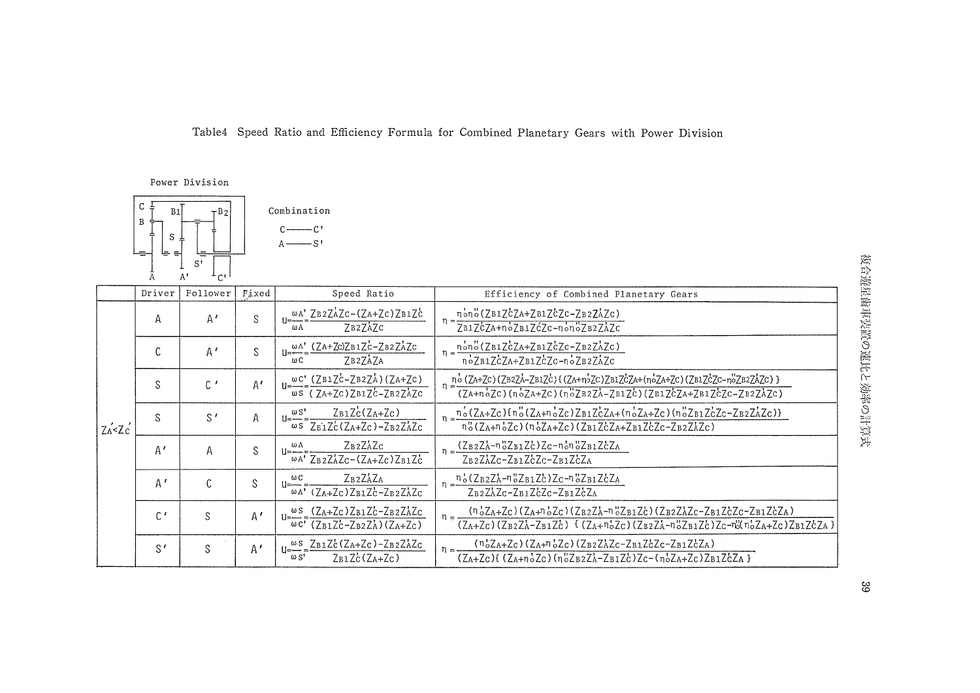Table4 Speed Ratio and Efficiency Formula for Combined Planetary Gears with Power Division

Power Division



|                                   | Driver       | Follower     | Fixed        | Speed Ratio                                                                                                                                                                                 | Efficiency of Combined Planetary Gears                                                                                                                                                                                                                               |
|-----------------------------------|--------------|--------------|--------------|---------------------------------------------------------------------------------------------------------------------------------------------------------------------------------------------|----------------------------------------------------------------------------------------------------------------------------------------------------------------------------------------------------------------------------------------------------------------------|
| $Z$ <sup>2</sup> $Z$ <sup>2</sup> | Α            | A'           | S            | WA' ZB2ZAZC-(ZA+ZC)ZB1ZC<br>ZB2ZAZC<br>ωA                                                                                                                                                   | nono(ZB1ZcZA+ZB1ZcZc-ZB2ZAZc)<br>ZB1ZcZA+noZB1ZcZc-nonoZB2ZAZc                                                                                                                                                                                                       |
|                                   | $\sim$<br>٠. | A'           | S            | ωΑ' (ZA+Zc)ZB1Zc-ZB2ZAZc<br>ZB2ZAZA<br>ωC                                                                                                                                                   | $n = \frac{n \cdot n \cdot \cdot (Z B1 Z C Z A + Z B1 Z C Z C - Z B2 Z A Z C)}{n}$<br>$n_{0}$ 7B17c7A+7B17c7c-n <sub>0</sub> 7B27A7c                                                                                                                                 |
|                                   | S            | $\mathsf{C}$ | $A^{\prime}$ | $U = \frac{\omega C'}{C} = \frac{(ZB1ZC-ZB2ZA)}{(ZA+ZC)}$<br>$\omega$ S (ZA+ZC)ZB1ZC-ZB2ZAZC                                                                                                | $n = \frac{n^6 (ZA+ZC)(ZB2ZA-ZB1ZC)(ZA+n^5ZC)ZB1ZCZA+(n^5ZA+ZC)(ZB1ZCZC-n^5ZB2ZAZC))}{(ZA+n^5ZC)(n^5ZA+ZC)(n^5ZB2ZA-ZB1ZC)(ZB1ZCZA+ZB1ZCZC-ZB2ZAZC)}$                                                                                                                |
|                                   | S.           | $S^{\prime}$ | Α            | $Z_{B1}Z_{C}^{\prime}(Z_{A}+Z_{C})$<br>$\omega S$<br>i i=--- =<br>$\omega$ s Z <sub>B1</sub> Z <sub>C</sub> (Z <sub>A+</sub> Z <sub>C</sub> )-Z <sub>B2</sub> Z <sub>A</sub> Z <sub>C</sub> | $\frac{n_{o}(ZA+Zc)_{n_{o}(Za+n_{o}Zc)Z_{B1}Z_{C}Z_{A}+n_{o}Z_{A}Zc)_{n_{o}(Z_{B1}Z_{C}Zc-Z_{B2}Z_{A}Zc)_{1}}{n_{o}(Z_{B1}Z_{C}Zc-Z_{B2}Z_{A}Zc)_{1}}$<br>nº (ZA+n·2c) (n·2A+Zc) (ZB1ZcZA+ZB1ZcZc-ZB2ZAZc)                                                           |
|                                   | A'           | A            | S            | $Z_B2Z_AZ_C$<br>ωA<br>$\omega A'$ ZB2ZAZc-(ZA+Zc)ZB1Zc                                                                                                                                      | $(Z_B2Z_A-n_0Z_B1Zc)Zc-n_0n_0Z_B1ZcZ_A$<br>$Z_B2Z_AZ_C-Z_B1Z_CZ_C-Z_B1Z_CZ_A$                                                                                                                                                                                        |
|                                   | A'           | C            | S            | ZB2ZAZA<br>ωс<br>$11$ = $-$<br>$\omega A'$ (ZA+Zc)ZB1Zc-ZB2ZAZc                                                                                                                             | $n = \frac{n_o (Z_B z Z_A - n_o Z_B z Z_C) Z_C - n_o Z_B z Z_C Z_A}{}$<br>ZB2ZAZC-ZB1ZCZC-ZB1ZCZA                                                                                                                                                                    |
|                                   | $C^{\prime}$ | S            | A'           | $u = \frac{ws}{1} \frac{(Z_A + Z_C)Z_B1Z_C - Z_B2Z_AZ_C}{(Z_A + Z_C)Z_BZ_C}$<br>$\omega$ C' (ZB1Zc-ZB2ZA)(ZA+Zc)                                                                            | $(n_{o}Z_{A}+Z_{C})(Z_{A}+n_{o}Z_{C})(Z_{B}zZ_{A}+n_{o}Z_{B}1Z_{C})(Z_{B}zZ_{A}Z_{C}-Z_{B}1Z_{C}Z_{C}-Z_{B}1Z_{C}Z_{A})$<br>$(Z_{A}+Z_{C})$ (ZB2ZA-ZB1ZC) { $(Z_{A}+n_{o}^{+}Z_{C})$ (ZB2ZA-n <sup>1</sup> 2ZB1ZC)Zc-n <sup>2</sup> (n <sup>1</sup> 2ZA+Zc)ZB1ZCZA } |
|                                   | $S^{\prime}$ | S            | Α'           | $U = \frac{\omega s}{\omega} = \frac{Z_{B1}Z_{C}^{t}(Z_{A}+Z_{C}) - Z_{B2}Z_{A}^{t}Z_{C}}{Z_{A2}Z_{C}Z_{C}}$<br>$Z_{B1}Z_{C}^{\prime}$ ( $Z_{A}+Z_{C}$ )<br>$\omega$ s'                     | $(n_0^1Z_A+Z_C)(Z_A+n_0^1Z_C)(Z_B2Z_AZ_C-Z_B1Z_CZ_C-Z_B1Z_CZ_A)$<br>$(Z_A+Z_C)$ { $(Z_A+\eta_0^tZ_C)$ $(\eta_0^uZ_BzZ_A-Z_B1Z_C^t)Z_C-(\eta_0^tZ_A+Z_C)Z_B1Z_C^tZ_A$ }                                                                                               |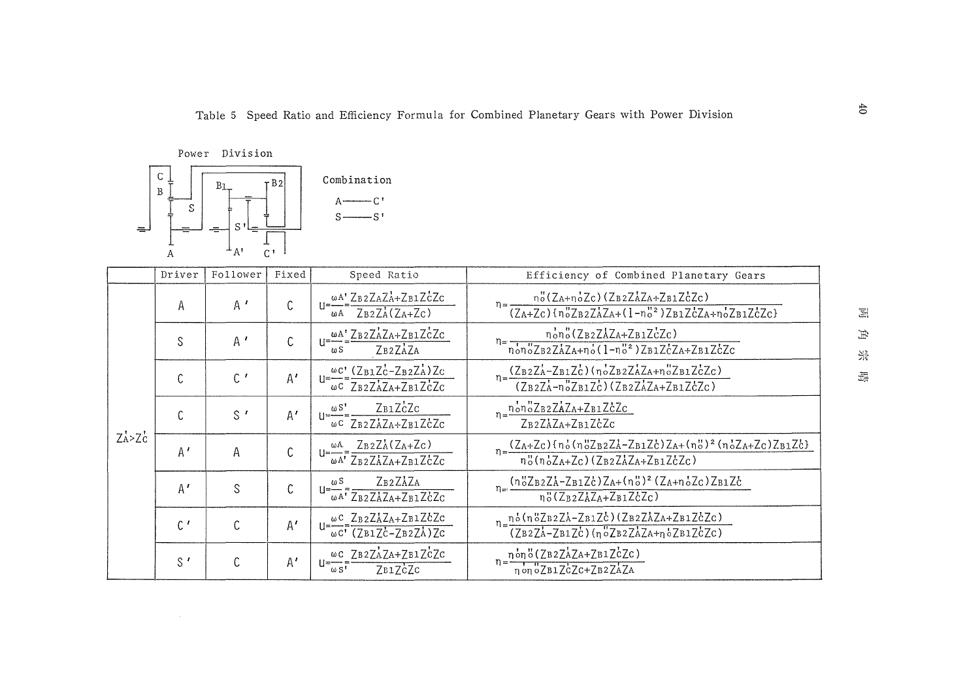Power Division



|             | Driver       | Follower      | Fixed | Speed Ratio                                                                                                                         | Efficiency of Combined Planetary Gears                                                                                                                                                                         |
|-------------|--------------|---------------|-------|-------------------------------------------------------------------------------------------------------------------------------------|----------------------------------------------------------------------------------------------------------------------------------------------------------------------------------------------------------------|
|             | Α            | $A^{\prime}$  | C     | ωΑ' ZB2ZAZA+ZB1ZCZC<br>$   = -$<br>$Z_{B2}Z_{A}^{1}(Z_{A}+Z_{C})$<br>ωA                                                             | no(ZA+noZc)(ZB2ZAZA+ZB1ZcZc)<br>$\overline{(Z_A+Z_C) \{n_0^2Z_BzZ_AZ_A+(1-n_0^{\prime 2})Z_B1Z_CZ_A+n_0^2Z_B1Z_CZ_C\}}$                                                                                        |
|             | S            | $A^{\prime}$  | C     | $U = \frac{\omega A^{\prime}}{2B2Z\Delta Z + 2B1Z\dot{c}Zc}$<br>ZB2ZAZA<br>$\omega$ S                                               | $n=\frac{n_0n_0'(Z_{B2}Z_{A}Z_{A}+Z_{B1}Z_{C}Z_{C})}{n_0n_0'Z_{B2}Z_{A}Z_{A}+n_0'(1-n_0'^2)Z_{B1}Z_{C}Z_{A}+Z_{B1}Z_{C}Z_{C}}$                                                                                 |
|             | C            | C             | A'    | $U = \frac{\omega c'}{\omega c} = \frac{(Z_{B1}Z_{C} - Z_{B2}Z_{A}^{\dagger})Z_{C}}{Z_{B2}Z_{A}Z_{A} + Z_{B1}Z_{C}^{\dagger}Z_{C}}$ | $n = \frac{(Z_{B2}Z_{A} - Z_{B1}Z_{C})(n_{0}Z_{B2}Z_{A}Z_{A} + n_{0}Z_{B1}Z_{C}Z_{C})}{(Z_{B2}Z_{A}Z_{C}Z_{C})}$<br>$(ZB2ZA-n''ZB1Zc)(ZB2ZAZA+ZB1ZcZc)$                                                        |
|             | C            | $S^{\prime}$  | A'    | ZB1ZcZc<br>$U = \frac{\omega S^{1}}{2}$<br>$\omega$ C ZB2ZAZA+ZB1ZCZC                                                               | $n = n_0 n_0 Z_B 2 Z_A Z_A + Z_{B1} Z_C Z_C$<br>ZB2ZAZA+ZB1ZCZC                                                                                                                                                |
| $Z_A > Z_C$ | A'           | Α             | C     | $U = \frac{\omega A}{\omega A'} = \frac{Z B 2 Z A (Z A + Z C)}{Z B 2 Z A Z A + Z B 1 Z C Z C}$                                      | $\eta = \frac{(Z_A + Z_C) \{ \eta_o^t (\eta_o^u Z_B z Z_A - Z_B z Z_C^t) Z_A + (\eta_o^u)^2 (\eta_o^t Z_A + Z_C) Z_B z Z_C^t \}}{n_o^u (\eta_o^t Z_A + Z_C) (Z_B z Z_A^t Z_A + Z_B z_C^t Z_C)}$                |
|             | A'           | S             | C     | ZB2ZAZA<br>$U = \frac{\omega S}{\omega}$<br>$\overline{\omega A'}$ ZB2ZAZA+ZB1ZCZC                                                  | $n = (n\frac{8}{2B}2Z_{A}-Z_{B1}Z_{C})Z_{A}+(n\frac{n}{2})^{2}(Z_{A}+n\frac{1}{2}Z_{C})Z_{B1}Z_{C}$<br>$n_0$ " (Z <sub>B2</sub> Z <sub>A</sub> Z <sub>A+</sub> Z <sub>B1</sub> Z <sub>c</sub> Z <sub>c</sub> ) |
|             | $C^{\prime}$ | $\mathcal{C}$ | A'    | $U = \frac{\omega C}{1} \frac{Z_B 2 Z_A Z_{A} + Z_B 1}{Z_C Z_C}$<br>$\omega$ <sup>c</sup> (ZB1Zc-ZB2ZA)Zc                           | $n = \frac{n \cdot (n \cdot 7B2ZA - ZB1ZC)(ZB2ZAZA + ZB1ZCC)}{(ZB2ZA - ZB1ZC)(n \cdot 7B2ZAZA + n \cdot 7B1ZCC)}$                                                                                              |
|             | $S^{\prime}$ | C             | A'    | ως ZB2ZAZA+ZB1ZCZC<br>$11 = -$<br>$\omega$ S <sup>T</sup><br>7B17cZc                                                                | $=\frac{\eta \delta \eta \delta (ZB2Z\Delta ZA+ZB1Z\dot{c}Zc)}{\eta \delta \eta \delta ZB1Z\dot{c}Zc+ZB2Z\dot{c}ZA}$                                                                                           |

 $\Xi$  $\#$ 했  $\frac{1}{\sqrt{2\beta_0}}$ 

 $40\,$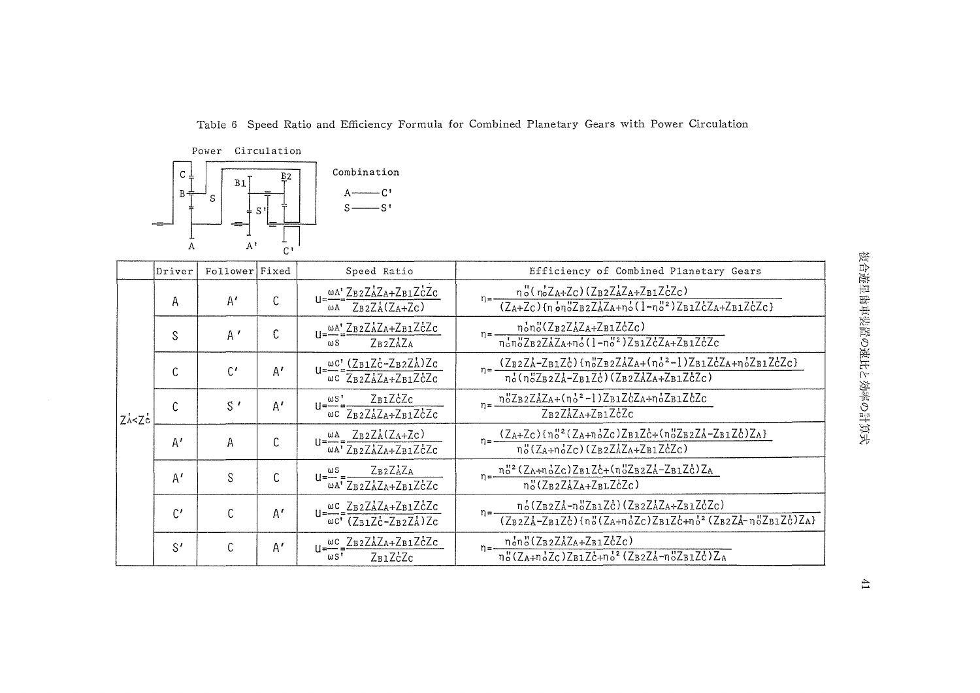Table 6 Speed Ratio and Efficiency Formula for Combined Planetary Gears with Power Circulation



|         | Driver          | Follower Fixed |    | Speed Ratio                                                                                                                                                                                                                                        | Efficiency of Combined Planetary Gears                                                                                                                                                                                                                                                                             |
|---------|-----------------|----------------|----|----------------------------------------------------------------------------------------------------------------------------------------------------------------------------------------------------------------------------------------------------|--------------------------------------------------------------------------------------------------------------------------------------------------------------------------------------------------------------------------------------------------------------------------------------------------------------------|
|         | А               | $A^{\prime}$   | C. | $\underbrace{\omega A^{\prime}}_{\mathbf{Z} \mathbf{B} 2} \underline{Z} \underline{A} \underline{Z} \underline{A} + \underline{Z} \underline{B} \underline{1} \underline{Z} \underline{C} \underline{Z} \underline{C}$<br>$Z_B2Z_A(Z_A+Z_C)$<br>ωA | $n_o''(\eta_o'Z_A+Z_C)(Z_B2Z_AZ_A+Z_B1Z_CZ_C)$<br>$(Z_A + Z_C)$ (n on "ZB2ZAZA+no'(1-n"2)ZB1ZCZA+ZB1ZCZC}                                                                                                                                                                                                          |
|         | S               | $A^{\prime}$   | €  | $U = \frac{\omega A'}{2B2ZAZA+ZB1ZcZc}$<br>ZB <sub>2</sub> ZAZA<br>$\omega S$                                                                                                                                                                      | nono(ZB2ZAZA+ZB1ZcZc)<br>$n =$ —–<br>$n_0$ <sup>1</sup> $ZB2ZAZA+n_0$ <sup>1</sup> (1- $n_0$ <sup>12</sup> ) $ZB1ZcZA+ZB1ZcZc$                                                                                                                                                                                     |
|         | C               | $C^{\prime}$   | A' | $u = \frac{\omega c'}{\omega c} = \frac{(Z_{B1}Z_{C}^{\prime} - Z_{B2}Z_{A}^{\prime})Z_{C}}{Z_{B2}Z_{A}^{\prime}Z_{A} + Z_{B1}Z_{C}^{\prime}Z_{C}}$                                                                                                | $\eta = \frac{(Z_{B2} Z \lambda - Z_{B1} Z \lambda) \{ \eta_0^U Z_{B2} Z \lambda Z \lambda + \{ \eta_0^2 - 1 \} Z_{B1} Z \lambda Z \lambda + \eta_0^1 Z_{B1} Z \lambda Z \lambda}{\eta_0^1 (\eta_0^U Z_{B2} Z \lambda - Z_{B1} Z \lambda) \{ Z_{B2} Z \lambda Z \lambda + Z_{B1} Z \lambda Z \lambda Z \lambda} }$ |
| ZA < ZC | C.              | $S^{\prime}$   | A' | $U = \frac{\omega S}{\omega C} = \frac{Z_B 1 Z_C^2 Z_C}{Z_B 2 Z_A^2 Z_A + Z_B 1 Z_C^2 Z_C}$                                                                                                                                                        | $n = \frac{n_0^{\nu} Z_B 2 Z_A Z_A + (n_0^{\nu^2} - 1) Z_B 1 Z_C Z_A + n_0^{\nu} Z_B 1 Z_C Z_C}{n_0^{\nu^2} Z_B Z_C Z_B}$<br>$Z_B2Z_AZ_A+Z_B1Z_CZ_C$                                                                                                                                                               |
|         | $A^I$           | Α              | C  | $u = \frac{\omega A}{\omega A^T} \frac{Z_B 2 Z_A (Z_A + Z_C)}{Z_B 2 Z_A Z_A + Z_B 1 Z_C^2 Z_C}$                                                                                                                                                    | $\eta = \frac{(Z_A + Z_C) \{ \eta_o^{12} (Z_A + \eta_o^1 Z_C) Z_B \mathbf{1} Z_C^1 + \{ \eta_o^1 Z_B \mathbf{2} Z_A^1 - Z_B \mathbf{1} Z_C^1 \} (Z_A + \eta_o^1 Z_C) (Z_B \mathbf{2} Z_A^1 Z_A + Z_B \mathbf{1} Z_C^1 Z_C)}$                                                                                       |
|         | A'              | S              | C. | $U = \frac{\omega S}{\omega A'} = \frac{L B2 L A L A}{Z B2 Z A Z A + Z B1 Z C Z C}$                                                                                                                                                                | $n = \frac{n_0^{12} (Z_A + n_0^T Z_C) Z_B I Z_C + (n_0^T Z_B Z_A - Z_B I Z_C^T) Z_A}{n}$<br>no(ZB2ZAZA+ZBLZcZc)                                                                                                                                                                                                    |
|         | $\mathfrak{C}'$ | C              | Α' | $u = \frac{\omega c}{2B2ZAZA+ZB1}ZcZc$<br>$\omega$ C' (ZB1ZC-ZB2ZA)ZC                                                                                                                                                                              | $\frac{n_{6}(Z_{B2}Z_{A}^{1}-n_{0}^{0}Z_{B1}Z_{C}^{1})(Z_{B2}Z_{A}^{1}Z_{B1}Z_{C}^{1}Z_{C})}{(Z_{B2}Z_{A}^{1}-Z_{B1}Z_{C}^{1})(n_{0}^{0}(Z_{A}+n_{0}^{1}Z_{C})Z_{B1}Z_{C}^{1}+n_{0}^{12}(Z_{B2}Z_{A}^{1}-n_{0}^{0}Z_{B1}Z_{C}^{1})Z_{A}]}$                                                                         |
|         | $S^{\prime}$    | C              | A' | $u = \frac{\omega c}{2B2ZAZA+ZB1ZcZc}$<br>$\omega S$ <sup>'</sup><br>ZB1ZcZc                                                                                                                                                                       | $n = \frac{n_0 n_0'' (Z_B z Z_A Z_A + Z_B z Z_C)}{n}$<br>$n_0''(Z_{A}+n_0'Z_C)Z_{B1}Z_{C}^L+n_0'^2(Z_{B2}Z_{A}^L-n_0''Z_{B1}Z_C^L)Z_{A}$                                                                                                                                                                           |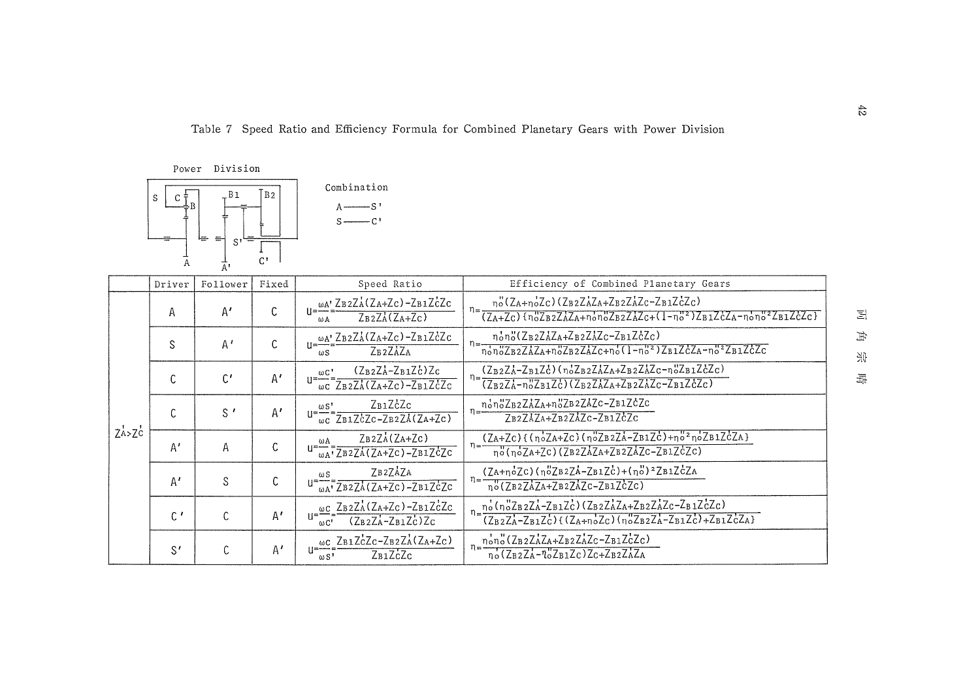Table 7 Speed Ratio and Efficiency Formula for Combined Planetary Gears with Power Division



|                                 | Driver         | Follower        | Fixed        | Speed Ratio                                                                                                                                                                                    | Efficiency of Combined Planetary Gears                                                                                                                                           |
|---------------------------------|----------------|-----------------|--------------|------------------------------------------------------------------------------------------------------------------------------------------------------------------------------------------------|----------------------------------------------------------------------------------------------------------------------------------------------------------------------------------|
|                                 | $\mathsf{A}$   | A'              | U            | wA' ZB2ZA(ZA+Zc)-ZB1ZCZC<br>$Z_B2Z_A(Z_A+Z_C)$<br>ωA                                                                                                                                           | $n_o''$ (ZA+ $n_oZc$ )(ZB2ZAZA+ZB2ZAZc-ZB1ZCZc)                                                                                                                                  |
|                                 | S              | $A^{\prime}$    |              | $\omega A$ 'ZB2ZA(ZA+Zc)-ZB1ZcZc<br>ZB <sub>2</sub> ZAZA<br>$\omega$ <sub>S</sub>                                                                                                              | non"(ZB2ZAZA+ZB2ZAZc-ZB1ZcZc)<br>nonoZB2ZAZA+noZB2ZAZc+no(1-no2)ZB1ZcZA-no2ZB1ZcZc                                                                                               |
|                                 | C.             | $\mathfrak{c}'$ | A'           | $(Z_B_2Z_A-Z_B_1Z_C)Z_C$<br>$\omega$ C'<br>$\overline{\omega}$ C $\overline{Z}$ B2 $\overline{Z}$ A( $\overline{Z}$ A+ $\overline{Z}$ C) – $\overline{Z}$ B1 $\overline{Z}$ C $\overline{Z}$ C | $(Z_B2ZA-Z_B1Zc)$ $(n_0Z_B2ZAZ_A+Z_B2ZAZ_c-n_0Z_B1ZcZc)$<br>$\overline{(Z_BzZ_A-n_0^2Z_B1Z_c^2)(Z_BzZ_AZ_A+Z_BzZ_AZ_c-Z_B1Z_c^2Z_c)}$                                            |
|                                 | C              | $S^{\prime}$    | A'           | ZB1ZCZc<br>ωS'<br>$\overline{\omega c}$ ZB1ZcZc-ZB2ZA(ZA+Zc)                                                                                                                                   | nonoZB2ZAZA+noZB2ZAZc-ZB1ZcZc<br>ZB2ZAZA+ZB2ZAZC-ZB1ZCZC                                                                                                                         |
| Z <sup>t</sup> > Z <sup>t</sup> | A'             | Α               | C            | $ZB2ZA(ZA+ZC)$<br>ωA<br>$\frac{1}{\omega A}$ , $\frac{1}{\sqrt{B^2 ZA}(\sqrt{A^2 - 2B^2Z})^2}$                                                                                                 | $(ZA+ZC)$ {(noZA+ZC)(noZB2ZA-ZB1ZC)+no <sup>2</sup> noZB1ZCZA}<br>$n = -$<br>no(noZA+ZC)(ZB2ZAZA+ZB2ZAZC-ZB1ZCZC)                                                                |
|                                 | A'             | S               | C            | ZB2ZAZA<br>$\omega$ S<br>$\sqrt{\mu A'}$ ZB2ZA(ZA+ZC)-ZB1ZCZC                                                                                                                                  | $(ZA+noZc)(noZB2ZA-ZB1Zc)+(no')2ZB1ZcZA$<br>$n=\frac{1}{n^o(ZB2ZAZA+ZB2ZAZC-ZB1ZCZC)}$                                                                                           |
|                                 | $\mathfrak{c}$ | C               | $A^{\prime}$ | $u=\frac{\omega c}{\sqrt{E\cdot Z}}=\frac{Z_{B2}Z_{A}^{2}(Z_{A}+Z_{C})-Z_{B1}Z_{C}^{2}Z_{C}}{Z_{C}Z_{C}}$<br>$(Z_BZ_A-Z_BZ_C)Z_C$<br>$\omega$ C <sup>t</sup>                                   | $n_o(n_o^{\prime\prime}Z_BzZ_A-Z_B1Z_c^{\prime})(Z_BzZ_AZ_A+Z_BzZ_AZ_c-Z_B1Z_cZ_c)$<br>$\frac{1}{(Z_B Z_A - Z_B I Z_C)(Z_A + n_0 Z_C)(n_0 Z_B Z_A - Z_B I Z_C) + Z_B I Z_C Z_A}$ |
|                                 | S'             | C               | Α'           | $\frac{\omega c}{1-\omega c} \frac{Z_{B1}Z_{C}Z_{C}-Z_{B2}Z_{A}Z_{A}Z_{C}}{Z_{A}+Z_{C}}$<br>$Z_{B1}ZcZc$<br>$\omega S$ <sup>1</sup>                                                            | nono (ZB2ZAZA+ZB2ZAZc-ZB1ZcZc)<br>$n_0$ (ZB2ZA- $n_0$ ZB1Zc) Zc+ZB2ZAZA                                                                                                          |

 $\Xi$  $\#$ 张

 $\frac{\gamma}{2m}$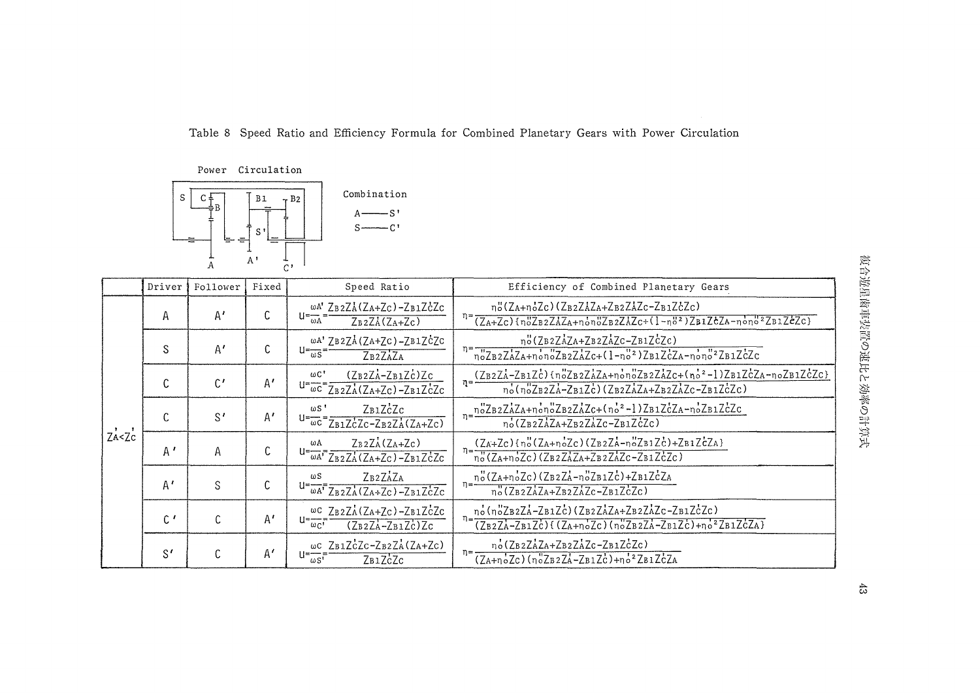Table 8 Speed Ratio and Efficiency Formula for Combined Planetary Gears with Power Circulation





|              | Driver       | Follower        | Fixed        | Speed Ratio                                                                                              | Efficiency of Combined Planetary Gears                                                                                                                                                                                        |
|--------------|--------------|-----------------|--------------|----------------------------------------------------------------------------------------------------------|-------------------------------------------------------------------------------------------------------------------------------------------------------------------------------------------------------------------------------|
|              | Α            | A'              |              | ωΑ' ZB2ZA(ZA+Zc)-ZB1ZcZc<br>$U = -$<br>$Z_B2ZA(Z_A+Z_C)$<br>ωA                                           | no(ZA+noZc)(ZB2ZAZA+ZB2ZAZc-ZB1ZcZc)<br>$n = (Z_{A}+Z_{C})$ { $n_{0}^{0}Z_{B2}Z_{A}Z_{A}+n_{0}^{1}n_{0}^{0}Z_{B2}Z_{A}Z_{C}+(1-n_{0}^{02})Z_{B1}Z_{C}Z_{A}-n_{0}^{1}n_{0}^{02}Z_{B1}Z_{C}Z_{C}$ }                             |
|              | S            | A'              | C            | wA' ZB2ZA(ZA+ZC)-ZB1ZCZC<br>$U = \frac{U}{\omega S}$<br>ZB <sub>2</sub> ZAZA                             | no(ZB2ZAZA+ZB2ZAZC-ZB1ZCZC)<br>$n = \frac{n}{2B} \frac{1}{2AZA+ n \cdot n} \frac{1}{2B} \frac{1}{2AZ+ (1-n)^2} \frac{1}{2B1ZcZA-n \cdot n} \frac{1}{2B1ZcZc}$                                                                 |
|              | C            | $\mathfrak{c}'$ | $A^{\prime}$ | $(Z_B2Z_A-Z_B1Z_C)Z_C$<br>$\omega$ C'<br>$u = \frac{1}{\omega C} = \frac{1}{ZBZA(ZA+ZC) - ZB1ZCZC}$      | $n = \frac{(ZB2ZA - ZB1Zc) (n_0ZB2ZAZA + n_0n_0ZB2ZAZc + (n_0^2 - 1)ZB1ZcZA - n_0ZB1ZcZc)}{n_0ZB1ZcZc}$<br>no(noZB2ZA-ZB1ZC)(ZB2ZAZA+ZB2ZAZC-ZB1ZCZC)                                                                         |
|              | C            | $S^{\prime}$    | A'           | ZB1ZcZc<br>$\omega$ S <sup>1</sup><br>$U = \frac{1}{\omega C} = \frac{1}{ZB1ZCZC-ZB2ZA(ZA+ZC)}$          | $n = \frac{n^3ZB2ZAZA + n^2n^3ZB2ZAZc + (n^2 - 1)ZB1ZcZA - n^2ZB1ZcZc}{n^2 + n^2ZB1ZcZc}$<br>$n_0$ (ZB2ZAZA+ZB2ZAZC-ZB1ZCZC)                                                                                                  |
| $Z_{A}Z_{C}$ | A'           | Α               | t.           | $Z_B2Z_A(Z_A+Z_C)$<br>ωA<br>$U = \frac{1}{\omega A'} \frac{1}{ZB2ZA}(ZA+ZC) - ZB1ZCZC$                   | $n=\frac{(Z_A+Z_C)\{n_o''(Z_A+n_o'Z_C)(Z_BzZ_A-n_o''Z_B1Z_C)+Z_B1Z_CZ_A\}}{n_o''(Z_A+n_o'Z_C)(Z_BzZ_AZ_A+Z_BzZ_AZ_C-Z_B1Z_CZ_C)}$                                                                                             |
|              | A'           | S               |              | ZB2ZAZA<br>$\omega S$<br>$U = \overline{\omega A'}$ $\overline{Z_B z Z_A' (Z_A + Z_C) - Z_B i Z_C' Z_C}$ | no(ZA+noZc)(ZB2ZA-noZB1Zc)+ZB1ZcZA<br>no(ZB2ZAZA+ZB2ZAZc-ZB1ZcZc)                                                                                                                                                             |
|              | $C^{\prime}$ |                 | A'           | ως ZB2ZA(ZA+Zc)-ZB1ZCZc<br>u=—<br>$(ZB2ZA-ZB1Zc)Zc$<br>$\omega_{C}$                                      | $n = \frac{n_0 (n_0^2 Z_B 2 Z_A - Z_B 1 Z_C) (Z_B 2 Z_A Z_A + Z_B 2 Z_A Z_C - Z_B 1 Z_C^2 Z_C)}{n = \frac{n_0 (n_0^2 Z_B 2 Z_A - Z_B 1 Z_C^2)}{n_0^2 Z_B}$<br>$(ZB2ZA-ZB1Zc)$ ( $(ZA+noZc)$ ( $noZB2ZA-ZB1Zc) +no^2ZB1ZcZA$ ) |
|              | S'           |                 | $A^{\prime}$ | $\omega$ C ZB1ZCZC-ZB2ZA(ZA+ZC)<br>u=·<br>ZB1ZCZC<br>$\omega$ s <sup>1</sup>                             | no(ZB2ZAZA+ZB2ZAZc-ZB1ZcZc)<br>$(ZA+noZc)(noZB2ZA-ZB1Zc)+no^2ZB1ZcZA$                                                                                                                                                         |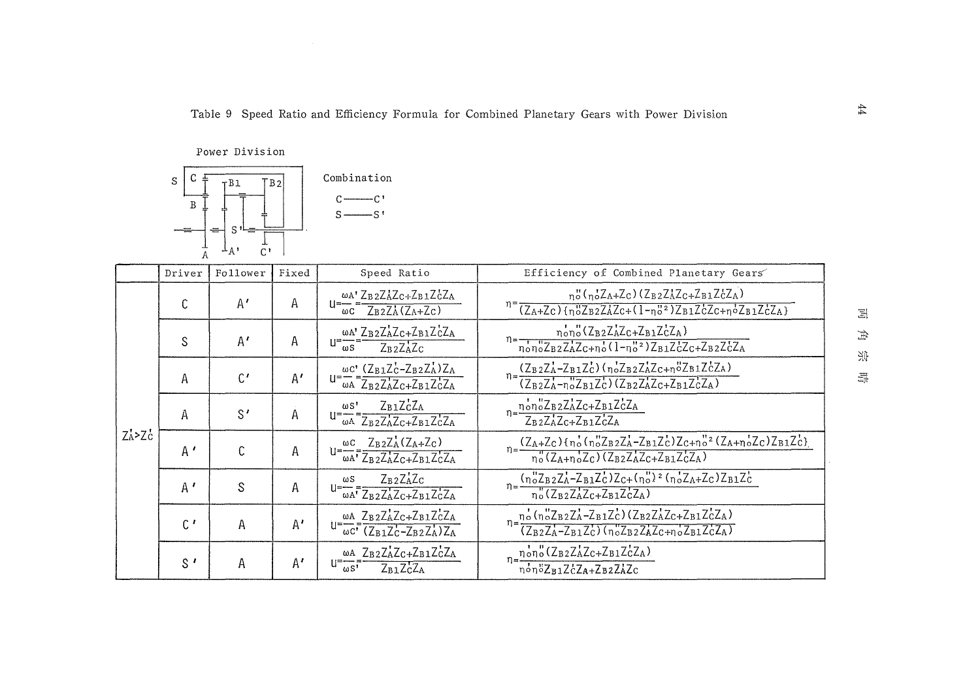Power Division



|             | Driver         | Follower     | Fixed        | Speed Ratio                                                                                                                                  | Efficiency of Combined Planetary Gears                                                                                                                                                                                                                                                  |
|-------------|----------------|--------------|--------------|----------------------------------------------------------------------------------------------------------------------------------------------|-----------------------------------------------------------------------------------------------------------------------------------------------------------------------------------------------------------------------------------------------------------------------------------------|
|             | C              | $A^{\prime}$ | Α            | $U = \frac{\omega A}{\omega C} = \frac{Z_B 2 Z_A Z_C + Z_B 1 Z_C^2 Z_A}{Z_B 2 Z_A (Z_A + Z_C)}$                                              | $n_o''(\eta_o Z_A + Z_C)(Z_B2Z_AZ_C + Z_B1Z_CZ_A)$<br>$\sqrt{(Z_A+Z_C)\{\eta_0^uZ_B2Z_AZ_C+(1-\eta_0^u^2)Z_B1Z_CZ_C+\eta_0^uZ_B1Z_CZ_A\}}$                                                                                                                                              |
|             | S              | A'           | Α            | WA' ZB2ZAZC+ZB1ZCZA<br>$u = \frac{1}{\omega s}$<br>$Z_B$ <sub>2</sub> $Z_A$ <sup>2</sup> $C$                                                 | $n_{0}n_{0}$ (Z <sub>B2</sub> Z <sub>A</sub> Z <sub>C+</sub> Z <sub>B1</sub> Z <sub>C</sub> Z <sub>A</sub> )<br>$n = \frac{1010}{\pi_0 \pi_0^2 \text{Z}_B z \text{Z}_A^2 \text{Z} + \pi_0^2 (1 - \pi_0^2)^2 \text{Z}_B z \text{Z}_C^2 \text{Z} + \text{Z}_B z \text{Z}_C^2 \text{Z}_A}$ |
|             | Α              | $C^{\prime}$ | A'           | $\omega C$ <sup>'</sup> $(Z_{B1}Z_{C}^{\prime}-Z_{B2}Z_{A}^{\prime})Z_{A}$<br>$U = \frac{1}{\omega A} = \frac{1}{Z_B Z_A Z_C + Z_B Z_C Z_A}$ | $\overline{n} = \frac{(Z_B 2Z_A - Z_B 1Z_C) (\eta_0 Z_B 2Z_A Z_{C+n}^2 Z_B 1Z_C^2 Z_A)}{(Z_B 2Z_A - \eta_0 Z_B 1Z_C) (\overline{Z_B 2Z_A Z_{C} + Z_B 1Z_C^2 Z_A)}$                                                                                                                      |
|             | A              | $S^{\prime}$ | Α            | $Z_B1Z_CZ_A$<br>$\omega S$ <sup>'</sup><br>$u = \frac{1}{\omega A} = \frac{1}{Z_B Z_A Z_C + Z_B Z_C Z_A}$                                    | $n = \frac{n_{o}^{'}n_{o}^{''}Z_{B2}Z_{A}Z_{C} + Z_{B1}Z_{C}^{'}Z_{A}}{n}$<br>$Z_B$ <sub>2</sub> $Z_A$ Z <sub>C+</sub> $Z_B$ <sub>1</sub> $Z_C$ <sup>2</sup> $A$                                                                                                                        |
| $Z_A > Z_C$ | A'             | C            | А            | $u = \frac{\omega c}{\omega A} = \frac{Z_B 2 Z_A (Z_A + Z_C)}{Z_B 2 Z_A Z_C + Z_B 1 Z_C Z_A}$                                                | $n=\frac{(Z_A+Z_C)\{n_o'(n_o''Z_BzZ_A-Z_B1Z_C)\}Z_{C+n_o''}^{2}(Z_A+n_o'Z_C)Z_{B1}Z_C)}{n_o''(Z_A+n_o'Z_C)(Z_BzZ_AZ_C+Z_{B1}Z_CZ_A)}$                                                                                                                                                   |
|             | $A^{\prime}$   | S            | A            | ZB2ZAZC<br>$u = \frac{\omega s}{\omega A} = \frac{Z_B z Z_A \angle c}{Z_B z Z_A^{\dagger} Z_C + Z_{B1} Z_C^{\dagger} Z_A}$                   | $\eta = \frac{{\binom{n}{0}Z_{B2}Z_{A}^{1}-Z_{B1}Z_{C}^{1}Z_{C}+{\binom{n}{0}Z^{2}}\left(\eta_{o}^{1}Z_{A}+Z_{C}\right)Z_{B1}Z_{C}^{1}}}{\eta_{o}^{1}(Z_{B2}Z_{A}^{1}Z_{C}+Z_{B1}Z_{C}^{1}Z_{A})}$                                                                                      |
|             | $\mathfrak{c}$ | A            | $A^{\prime}$ | $U = \frac{\omega A}{\omega C} = \frac{Z_B 2 Z_A Z_C + Z_{B1} Z_C Z_A}{(Z_{B1} Z_C - Z_B 2 Z_A) Z_A}$                                        | $n = \frac{n_o^t (n_o^u Z_B z Z_A - Z_B z Z_C^t) (Z_B z Z_A^t Z_C + Z_B z Z_C^t Z_A)}{n}$<br>$\overline{(Z_BzZ_A-Z_BzZ_C)(\eta_oZ_BzZ_AZ_C+\eta_oZ_BzZ_CZ_A)}$                                                                                                                          |
|             | $S^{\prime}$   | Α            | A'           | ωΑ ZB2ZAZC+ZB1ZCZA<br>$I^=\overline{\omega S}$<br>$Z_{B1}Z_{C}Z_{A}$                                                                         | $n = \frac{n \cdot n}{1000} \frac{(Z_{B2}Z_{A}Z_{C}+Z_{B1}Z_{C}Z_{A})}{Z_{A2}}$<br>nonöZB1ZcZA+ZB2ZAZc                                                                                                                                                                                  |

 $\Xi$  $\#$ 넷

 $\frac{\sqrt{-1}}{2\sqrt{2}}$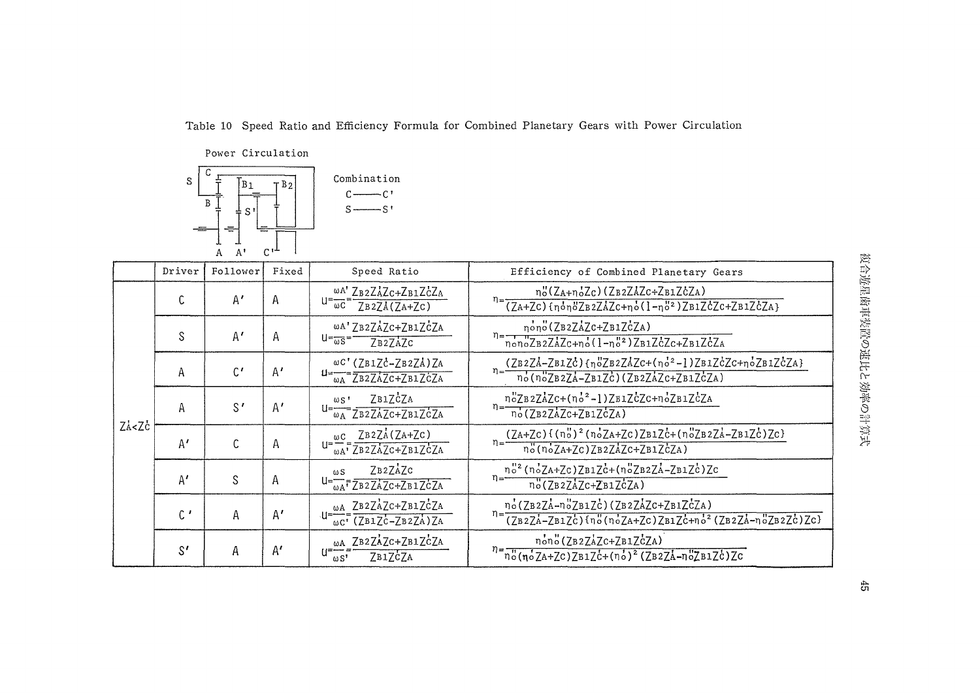Table 10 Speed Ratio and Efficiency Formula for Combined Planetary Gears with Power Circulation

Power Circulation



|                                                                                                                                                                                                                                                                                                                        | Driver         | Follower     | Fixed        | Speed Ratio                                                                                                                                                                                                                                                                                                                                                                                                                 | Efficiency of Combined Planetary Gears                                                                                             |
|------------------------------------------------------------------------------------------------------------------------------------------------------------------------------------------------------------------------------------------------------------------------------------------------------------------------|----------------|--------------|--------------|-----------------------------------------------------------------------------------------------------------------------------------------------------------------------------------------------------------------------------------------------------------------------------------------------------------------------------------------------------------------------------------------------------------------------------|------------------------------------------------------------------------------------------------------------------------------------|
|                                                                                                                                                                                                                                                                                                                        | C              | A'           | A            | WA' ZB2ZAZC+ZB1ZCZA<br>$U = \frac{1}{\omega C} = \frac{1}{\sqrt{B} 2 \sqrt{2A} (\sqrt{2A} + \sqrt{2}C)}$                                                                                                                                                                                                                                                                                                                    | no(ZA+noZc)(ZB2ZAZc+ZB1ZcZA)<br>$n = \frac{1}{(ZA+ZC)\{n_0n_0ZB2ZAZC+n_0(1-n_0^2)^2B1ZCZC+ZB1ZCZA\}}$                              |
|                                                                                                                                                                                                                                                                                                                        | S              | A'           | A            | ωΑ' ZB2ZAZC+ZB1ZCZA<br>$U = \frac{1}{\omega S}$<br>ZB2ZAZC                                                                                                                                                                                                                                                                                                                                                                  | nono(ZB2ZAZC+ZB1ZCZA)<br>$n = \frac{1}{\pi \delta \sqrt{ZBZZZc + \pi \delta (1 - \pi \delta^2) ZB1ZcZc + ZB1ZcZA}}$                |
|                                                                                                                                                                                                                                                                                                                        | Α              | $C^{\prime}$ | A'           | ωC' (ZB1ZC-ZB2ZA) ZA<br>$u = \frac{1}{\omega A} \frac{1}{ZB2ZAZC+ZB1ZCZA}$                                                                                                                                                                                                                                                                                                                                                  | $(ZB2ZA-ZB1Zc)$ {noZB2ZAZc+(no <sup>2</sup> -1)ZB1ZcZc+noZB1ZcZA}<br>no(noZB2ZA-ZB1ZC)(ZB2ZAZC+ZB1ZCZA)                            |
|                                                                                                                                                                                                                                                                                                                        | Α              | $S^{\prime}$ | A'           | ZB1ZCZA<br>$\omega$ s <sup>*</sup><br>$U = \frac{1}{\omega_A} \overline{ZB2ZAZc+ZB1ZcZA}$                                                                                                                                                                                                                                                                                                                                   | noZB2ZAZC+(no2-1)ZB1ZcZC+noZB1ZcZA<br>no(ZB2ZAZC+ZB1ZCZA)                                                                          |
| ZA <zc< td=""><td>A'</td><td>C</td><td>Α</td><td><math>\omega</math>C ZB2ZA(ZA+ZC)<br/><math>\omega_A</math><sup>T</sup>ZB2ZAZC+ZB1ZCZA</td><td><math display="block">\eta = \frac{(ZA+ZC)\{(\eta_o^v)^2(\eta_o^2ZA+ZC)ZB1Zc^2+(\eta_o^vZB2ZA-ZB1Zc^2)ZC\}}{\eta_o^v(\eta_o^2ZA+ZC)ZB2ZAZc+ZB1ZcZA)}</math></td></zc<> | A'             | C            | Α            | $\omega$ C ZB2ZA(ZA+ZC)<br>$\omega_A$ <sup>T</sup> ZB2ZAZC+ZB1ZCZA                                                                                                                                                                                                                                                                                                                                                          | $\eta = \frac{(ZA+ZC)\{(\eta_o^v)^2(\eta_o^2ZA+ZC)ZB1Zc^2+(\eta_o^vZB2ZA-ZB1Zc^2)ZC\}}{\eta_o^v(\eta_o^2ZA+ZC)ZB2ZAZc+ZB1ZcZA)}$   |
|                                                                                                                                                                                                                                                                                                                        | A'             | S            | А            | ZB2ZAZC<br>$\omega$ S<br>$U = \sqrt{\Delta A} \sqrt{T} \sqrt{2B^2 Z A^2 C + Z B^2 Z C^2 A}$                                                                                                                                                                                                                                                                                                                                 | $n = \frac{n^{\frac{1}{2}}(n\delta ZA + ZC)ZB1Zc + (n\delta ZB2ZA - ZB1Zc)ZC}{n}$<br>no(ZB2ZAZC+ZB1ZCZA)                           |
|                                                                                                                                                                                                                                                                                                                        | $\mathfrak{c}$ | Α            | $A^{\prime}$ | wA ZB2ZAZC+ZB1ZCZA<br>$U = \frac{U}{\omega C}$ $\frac{1}{\omega C}$ $\frac{1}{\omega C}$ $\frac{1}{\omega C}$ $\frac{1}{\omega C}$ $\frac{1}{\omega C}$ $\frac{1}{\omega C}$ $\frac{1}{\omega C}$ $\frac{1}{\omega C}$ $\frac{1}{\omega C}$ $\frac{1}{\omega C}$ $\frac{1}{\omega C}$ $\frac{1}{\omega C}$ $\frac{1}{\omega C}$ $\frac{1}{\omega C}$ $\frac{1}{\omega C}$ $\frac{1}{\omega C}$ $\frac{1}{\omega C}$ $\frac$ | no(ZB2ZA-noZB1Zc)(ZB2ZAZC+ZB1ZcZA)<br>$\frac{1}{(2B2Zh - ZB1Zc)\{n\omega(noZh + Zc)ZB1Zc + n o^{2}(ZB2Zh - n\omega^{2}ZB2Zc)Zc\}}$ |
|                                                                                                                                                                                                                                                                                                                        | S'             | Α            | A'           | wA ZB2ZAZC+ZB1ZCZA<br>ZB1ZCZA<br>$\omega S^1$                                                                                                                                                                                                                                                                                                                                                                               | nono (ZB2ZAZC+ZB1ZCZA)<br>$n = \frac{n!}{n!(n/2A+ZC)ZB1ZC+(n/2)^2(ZB2ZA-n/2B1ZC)}ZC$                                               |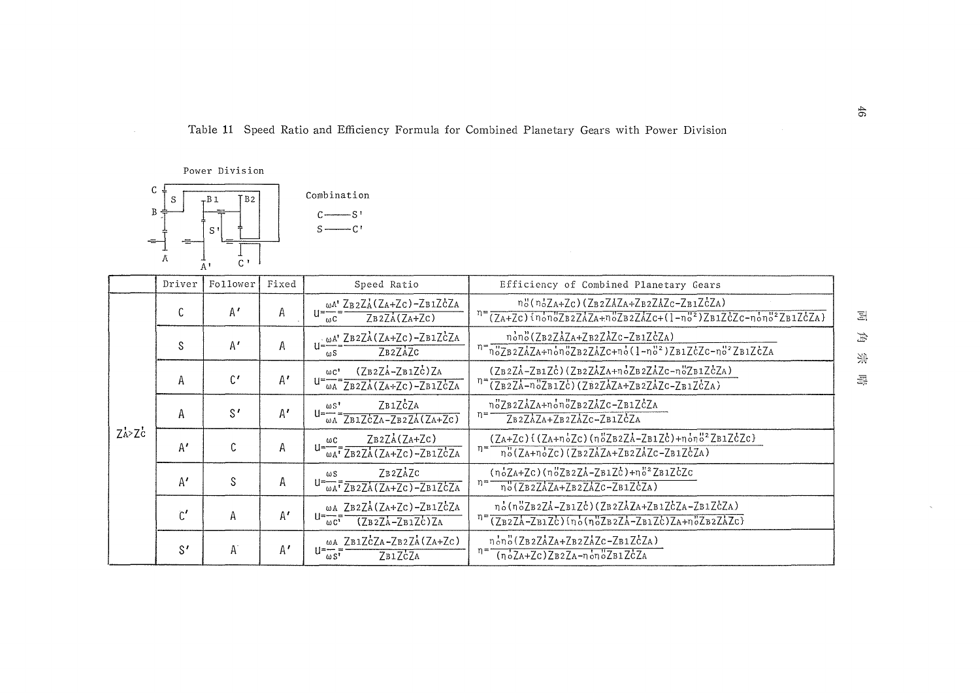Table 11 Speed Ratio and Efficiency Formula for Combined Planetary Gears with Power Division



|             | Driver        | Follower       | Fixed                 | Speed Ratio                                                                                 | Efficiency of Combined Planetary Gears                                                                                                                                              |
|-------------|---------------|----------------|-----------------------|---------------------------------------------------------------------------------------------|-------------------------------------------------------------------------------------------------------------------------------------------------------------------------------------|
|             | C             | $A^{\prime}$   | Α                     | ωΑ' ZB2ZA(ZA+Zc)-ZB1ZcZA<br>$ZB2ZA(ZA+ZC)$<br>$\mathbf{m}$ C                                | n"(n'ZA+Zc)(ZB2ZAZA+ZB2ZAZc-ZB1ZCZA)<br>$n = (ZA+ZC)$ {nono2B2ZAZA+noZB2ZAZC+(1-no2)ZB1ZcZc-nono22B1ZcZA}                                                                           |
|             | S             | A'             | А                     | $\cdot \omega A'$ ZB2ZA(ZA+ZC)-ZB1ZCZA<br>$II = -$<br>ZB2ZAZC<br>$\omega S$                 | nono(ZB2ZAZA+ZB2ZAZC-ZB1ZCZA)<br>$n = n_0^2 Z B 2 Z A Z A + n_0 n_0^2 Z B 2 Z A Z C + n_0^2 (1 - n_0^2)^2 B 1 Z C Z C - n_0^2^2 Z B 1 Z C Z A$                                      |
|             | А             | $\mathcal{C}'$ | A'                    | $(ZB2ZA-ZB1Zc)ZA$<br>$\omega C$ <sup>'</sup><br>$\frac{1}{\omega A}$ ZB2ZA(ZA+ZC)-ZB1ZCZA   | $(ZB2ZA-ZB1Zc)$ $(ZB2ZAZA+noZB2ZAZc-noZB1ZcZA)$<br>$n = (ZB2ZA-n'0ZB1Zc) (ZB2ZAZA+ZB2ZAZc-ZB1ZcZA)$                                                                                 |
|             | Α             | S'             | $\mathbb{A}^{\prime}$ | ZB1ZCZA<br>$\omega S$<br>ll=-<br>$\overline{\omega A}$ ZB1ZCZA-ZB2ZA(ZA+ZC)                 | n°ZB2ZAZA+non°ZB2ZAZC-ZB1ZCZA<br>η≕<br>ZB2ZAZA+ZB2ZAZC-ZB1ZCZA                                                                                                                      |
| $Z_A > Z_C$ | A'            | C              | A                     | ZB2ZA(ZA+ZC)<br>$\omega$ C<br>$\overline{\omega_{A}}$ <sup>7</sup> ZB2ZA(ZA+ZC)-ZB1ZCZA     | $(ZA+ZC)$ {(ZA+noZc)(noZB2ZA-ZB1Zc)+nono <sup>2</sup> ZB1ZcZc}<br>ຖ=<br>$\overline{p}_0^{\prime}(Z_{A}+\overline{p}_0^{\prime}Z_C)(Z_{B2}Z_{A}Z_{A}+Z_{B2}Z_{A}Z_C-Z_{B1}Z_{C}Z_A)$ |
|             | A'            | S              | A                     | ZB2ZAZC<br>ωS<br>$U = \frac{1}{\omega A^T} \frac{1}{Z B 2 Z A (Z A + Z C) - Z B 1 Z C Z A}$ | $(n_{o}Za+Zc)(n_{o}ZB2ZA-ZB1Zc)+n_{o}ZB1ZcZc$<br>$n = \frac{n(CB2ZAZA+ZB2ZAZc-ZB1ZcZA)}{n(CB2ZAZA+ZB2ZAZcZB1ZcZA)}$                                                                 |
|             | $\mathsf{C}'$ | A              | $A^{\prime}$          | ωΑ ZB2ZA (ZA+ZC)-ZB1ZCZA<br>H≕<br>$(7B27A-7B1Zc)ZA$<br>$\omega C$ <sup>3</sup>              | no(noZB2ZA-ZB1Zc)(ZB2ZAZA+ZB1ZcZA-ZB1ZcZA)<br>$\eta = \frac{(7B2ZA - ZB1Zc)\left(\eta_o^cT_B2ZA - ZB1Zc\right)ZA + \eta_o^cZB2ZAZc\}}{RB2ZA - ZB1Zc\}$                              |
|             | S'            | Α              | A'                    | ωA ZB1ZCZA-ZB2ZA(ZA+ZC)<br>$u = \frac{u}{\omega}$<br>ZB1ZCZA                                | nono(ZB2ZAZA+ZB2ZAZC-ZB1ZCZA)<br>$(noZA+Zc)ZB2ZA-nonOZB1ZcZA$                                                                                                                       |

 $\Xi$  $\#$ 资

 $\overline{\Xi}{}^{\pm}_n$ 

 $46\,$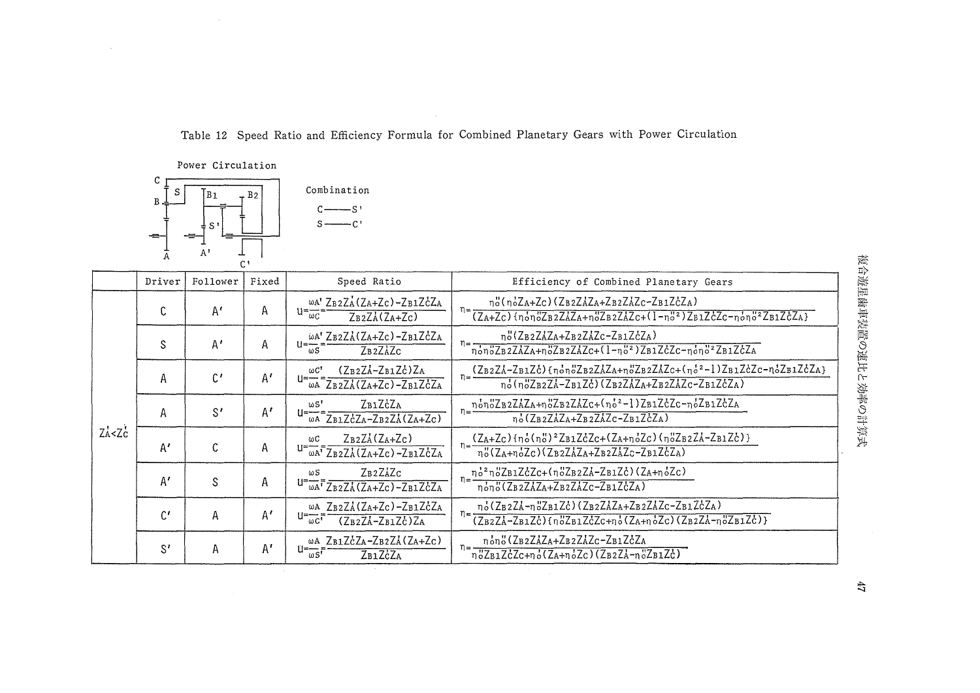Table 12 Speed Ratio and Efficiency Formula for Combined Planetary Gears with Power Circulation



|                                 | Driver       | Follower       | Fixed        | Speed Ratio                                                                                  | Efficiency of Combined Planetary Gears                                                                                                                                                                                                                                                                                                                                                                                                                                                                           |
|---------------------------------|--------------|----------------|--------------|----------------------------------------------------------------------------------------------|------------------------------------------------------------------------------------------------------------------------------------------------------------------------------------------------------------------------------------------------------------------------------------------------------------------------------------------------------------------------------------------------------------------------------------------------------------------------------------------------------------------|
|                                 | C            | A'             | Α            | $\omega A'$ ZB2ZA(ZA+ZC)-ZB1ZCZA<br>$u = \frac{1}{\omega C}$<br>$Z_B2Z_A(Z_A+Z_C)$           | no(noZA+Zc)(ZB2ZAZA+ZB2ZAZc-ZB1ZcZA)<br>$n = \frac{1}{(Z_A + Z_C) \{n_0 n_0 Z_B z Z_A Z_A + n_0 Z_B z Z_A Z_C + (1 - n_0^2 z) Z_B z_C^2 Z_C - n_0^2 n_0^2 z Z_B z_C^2 Z_A\}}$                                                                                                                                                                                                                                                                                                                                    |
|                                 | S            | A'             | Α            | WA' ZB2ZA(ZA+Zc)-ZB1ZCZA<br>$11 = -$<br>$Z_B$ <sub>2</sub> $Z_A$ $Z_C$<br>$\omega S$         | no(ZB2ZAZA+ZB2ZAZc-ZB1ZcZA)<br>$n = \frac{1}{n_0 n_0^2 \text{Z} \cdot \text{Z} \cdot \text{Z} \cdot \text{Z} \cdot \text{Z} \cdot \text{Z} \cdot \text{Z} \cdot \text{Z} \cdot \text{Z} \cdot \text{Z} \cdot \text{Z} \cdot \text{Z} \cdot \text{Z} \cdot \text{Z} \cdot \text{Z} \cdot \text{Z} \cdot \text{Z} \cdot \text{Z} \cdot \text{Z} \cdot \text{Z} \cdot \text{Z} \cdot \text{Z} \cdot \text{Z} \cdot \text{Z} \cdot \text{Z} \cdot \text{Z} \cdot \text{Z} \cdot \text{Z} \cdot \text{Z} \cdot \text$ |
|                                 | Α            | $\mathfrak{c}$ | A'           | $(Z_B2ZA-ZB1Zc)ZA$<br>$\omega C$<br>u=–<br>$\frac{1}{\omega A}$ ZB2ZA(ZA+ZC)-ZB1ZCZA         | $n = \frac{(ZB2ZA - ZB1Zc) {\{n_0n_0ZB2ZAZA + n_0ZB2ZAZc + (n_0^2 - 1)ZB1ZcZc - n_0^2ZB1ZcZc\}}$<br>no(noZB2ZA-ZB1Zc)(ZB2ZAZA+ZB2ZAZc-ZB1ZcZA)                                                                                                                                                                                                                                                                                                                                                                   |
|                                 | A            | $S^{\prime}$   | $A^{\prime}$ | ZB1ZCZA<br>ພ5'<br>$\overline{\omega A}$ ZB1ZCZA-ZB2ZA(ZA+ZC)                                 | $n = \frac{n \cdot 6n \cdot 2B2Z\lambda ZA + n \cdot 2B2Z\lambda ZC + (n \cdot 6)^2 - 1}{2B1Z\lambda ZC - n \cdot 2B1Z\lambda ZA}$<br>$n_o^*(Z_BzZAZA+Z_BzZAZc-Z_BzZcZA)$                                                                                                                                                                                                                                                                                                                                        |
| $Z_A^{\prime}$ < $Z_C^{\prime}$ | $A^{\prime}$ | C              | Α            | $Z_B2ZA(Z_A+Z_C)$<br>ωC<br>$U = \omega A^T \overline{Z_B z Z_A (Z_A + Z_C) - Z_B z Z_C Z_A}$ | $(Z_{A}+Z_{C})$ {no(no) <sup>2</sup> ZB1ZcZc+(ZA+noZc)(noZB2Zd-ZB1Zc)}<br>no(ZA+noZc)(ZB2ZAZA+ZB2ZAZc-ZB1ZcZA)                                                                                                                                                                                                                                                                                                                                                                                                   |
|                                 | A'           | S              | Α            | ZB2ZAZC<br>$\omega S$<br>$U = \overline{WA}$ <sup>T</sup> ZB2ZA(ZA+Zc)-ZB1ZCZA               | $n = \frac{n_0^2 n_0^2 Z B1 Z C C + (n_0^2 Z B2 Z A - Z B1 Z C)(Z A + n_0^2 Z C)}{n}$<br>nono(ZB2ZAZA+ZB2ZAZc-ZB1ZCZA)                                                                                                                                                                                                                                                                                                                                                                                           |
|                                 | $C^{\prime}$ | Α              | A'           | ωΑ ZB2ZA(ZA+Zc)-ZB1ZCZA<br>U=—<br>$(Z_B2Z_A-Z_B1Z_C)Z_A$<br>$\omega c^{\dagger}$             | no(ZB2ZA-noZB1Zc)(ZB2ZAZA+ZB2ZAZc-ZB1ZcZA)<br>$n =$<br>$(\overline{ZB2ZA-ZB1Zc})\{\eta_0^2ZB1ZcZc+\eta_0^*(ZA+\eta_0^*Zc)(ZB2ZA-\eta_0^*ZB1Zc)\}\$                                                                                                                                                                                                                                                                                                                                                               |
|                                 | $S^I$        | Α              | $A^r$        | ωΑ ZB1ZCZA-ZB2ZA(ZA+Zc)<br>$i = -1$<br>$\omega S$ <sup>t</sup><br>ZB1ZCZA                    | non" (ZB2ZAZA+ZB2ZAZc-ZB1ZcZA<br>$n_0^2Z_{B1}ZcZ_{C+n_0}(Z_{A+n_0}Z_c)(Z_{B2}Z_{A-n_0}Z_{B1}Z_c)$                                                                                                                                                                                                                                                                                                                                                                                                                |

 $47\,$